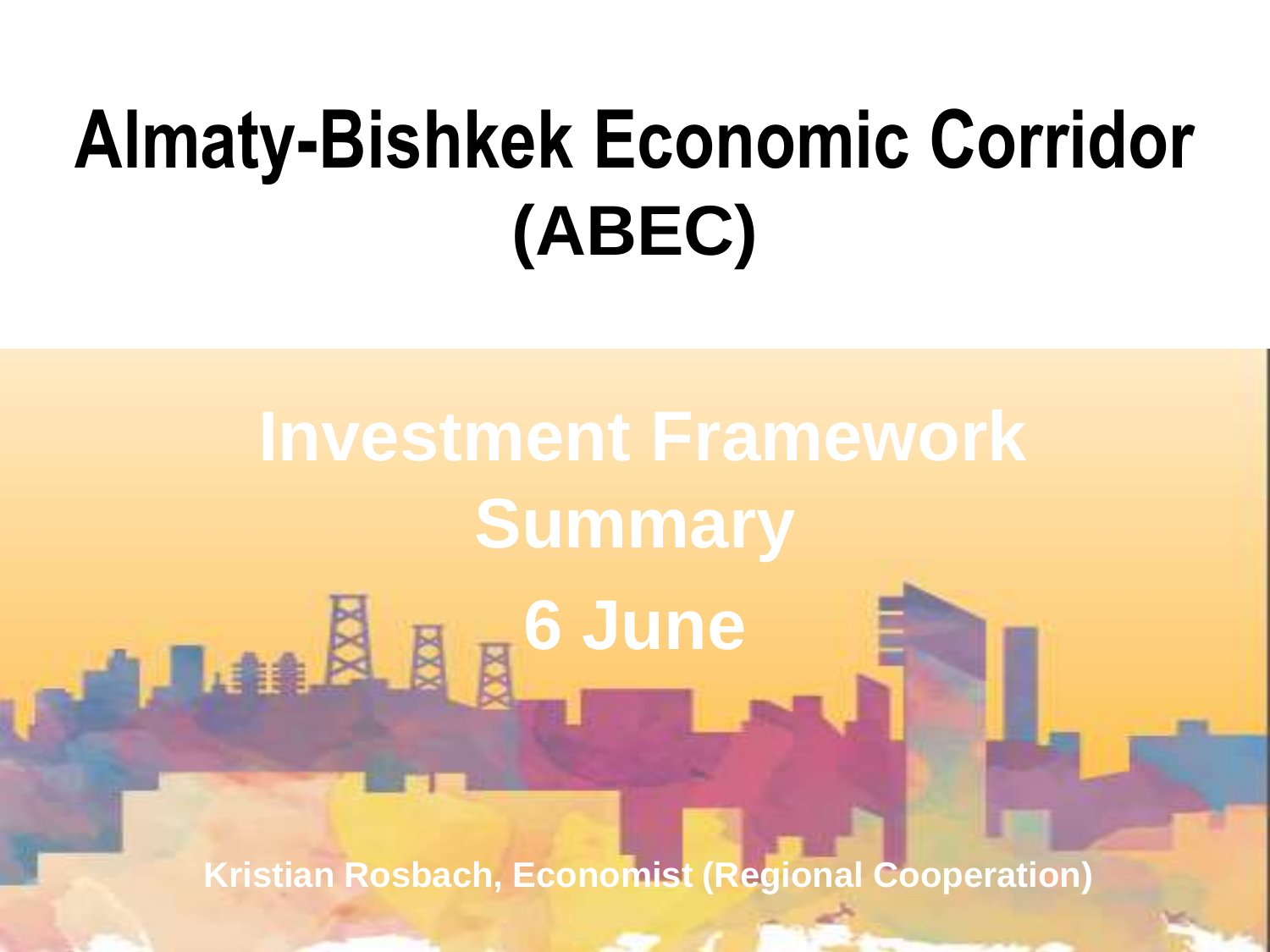# **Almaty-Bishkek Economic Corridor (ABEC)**

**Investment Framework Summary** Lan & <sub>N</sub> & June

**Kristian Rosbach, Economist (Regional Cooperation)**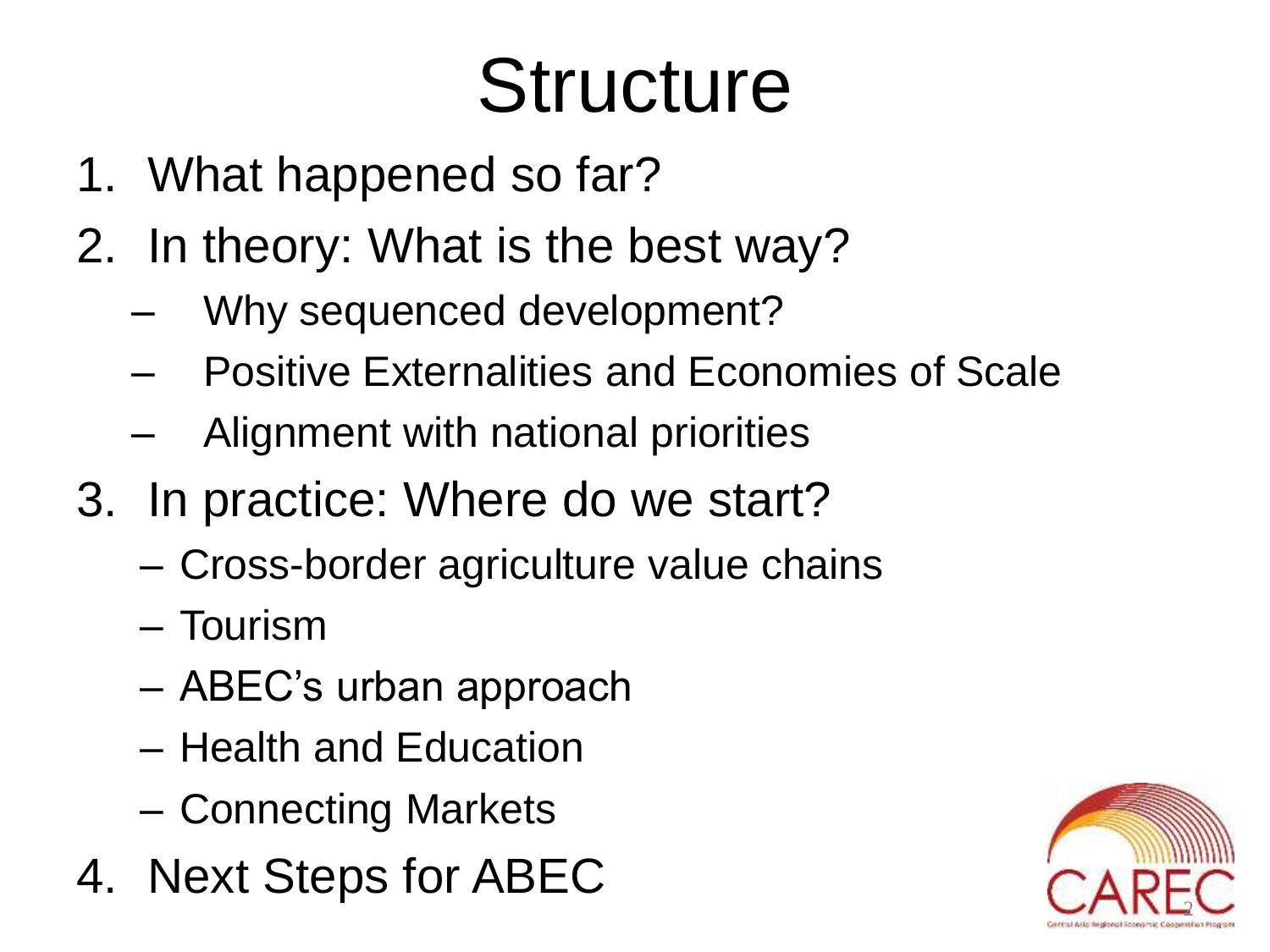# **Structure**

- 1. What happened so far?
- 2. In theory: What is the best way?
	- Why sequenced development?
	- Positive Externalities and Economies of Scale
	- Alignment with national priorities
- 3. In practice: Where do we start?
	- Cross-border agriculture value chains
	- Tourism
	- ABEC's urban approach
	- Health and Education
	- Connecting Markets
- 4. Next Steps for ABEC

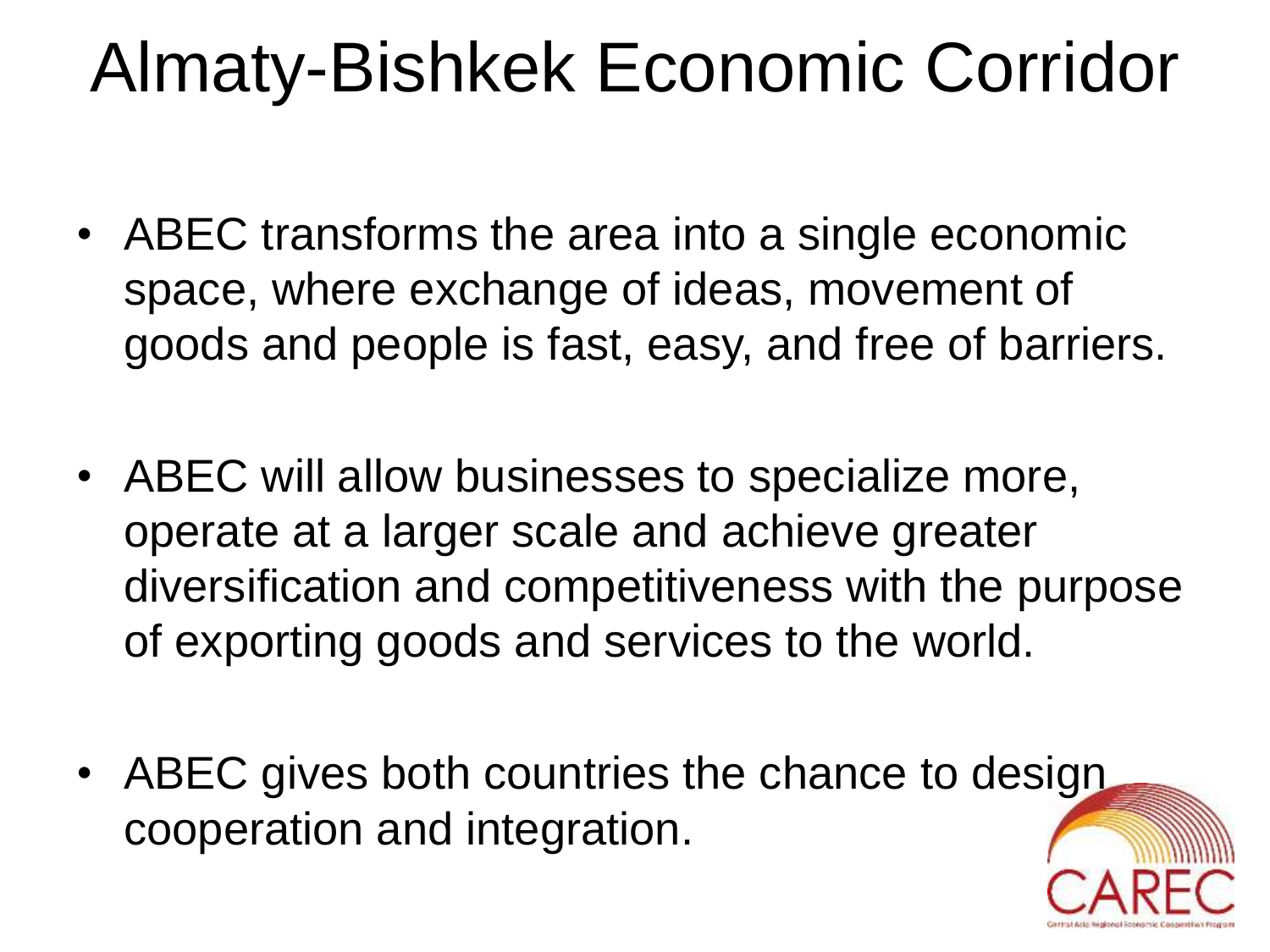### Almaty-Bishkek Economic Corridor

- ABEC transforms the area into a single economic space, where exchange of ideas, movement of goods and people is fast, easy, and free of barriers.
- ABEC will allow businesses to specialize more, operate at a larger scale and achieve greater diversification and competitiveness with the purpose of exporting goods and services to the world.
- ABEC gives both countries the chance to design cooperation and integration.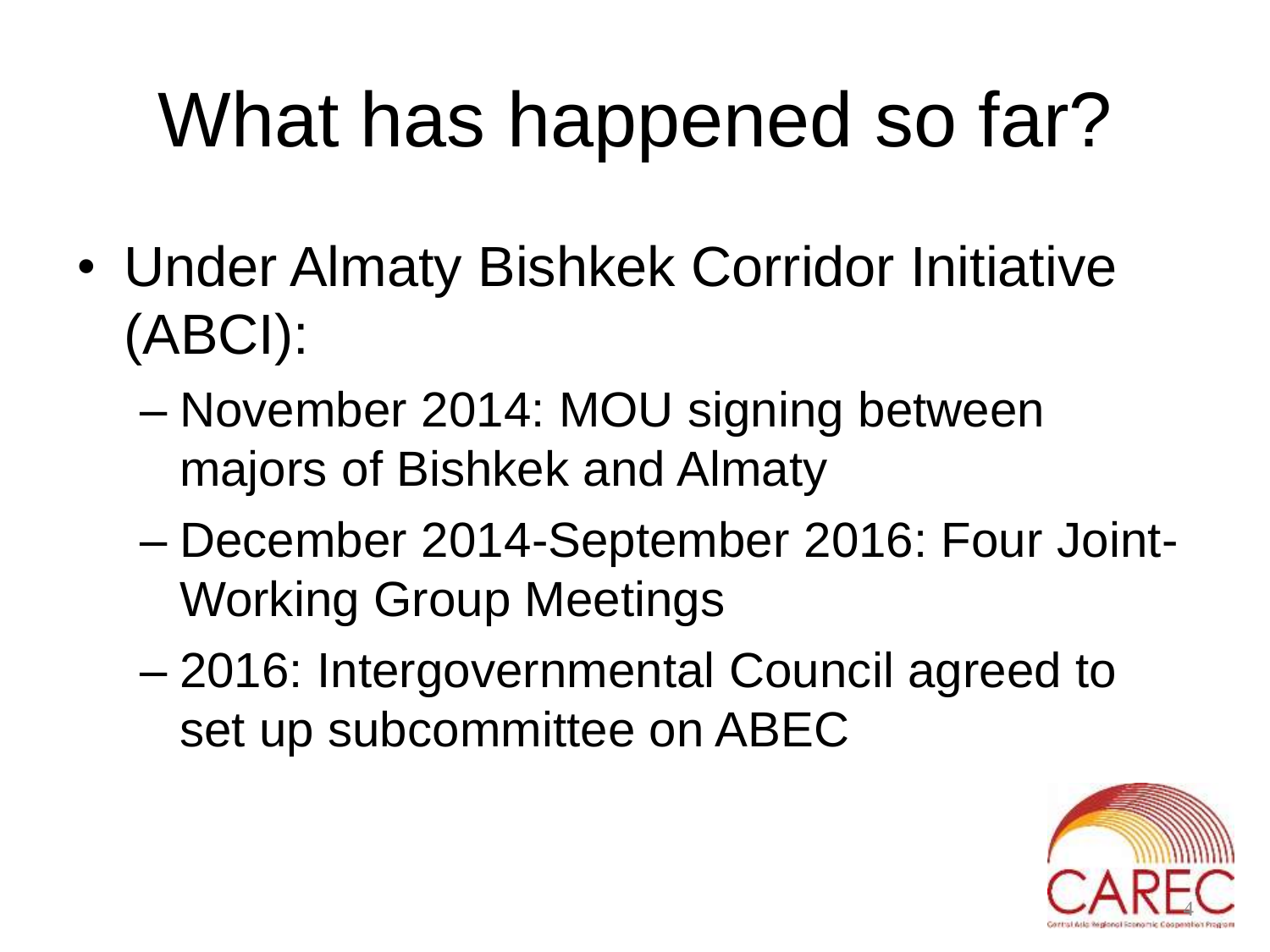# What has happened so far?

- Under Almaty Bishkek Corridor Initiative (ABCI):
	- November 2014: MOU signing between majors of Bishkek and Almaty
	- December 2014-September 2016: Four Joint-Working Group Meetings
	- 2016: Intergovernmental Council agreed to set up subcommittee on ABEC

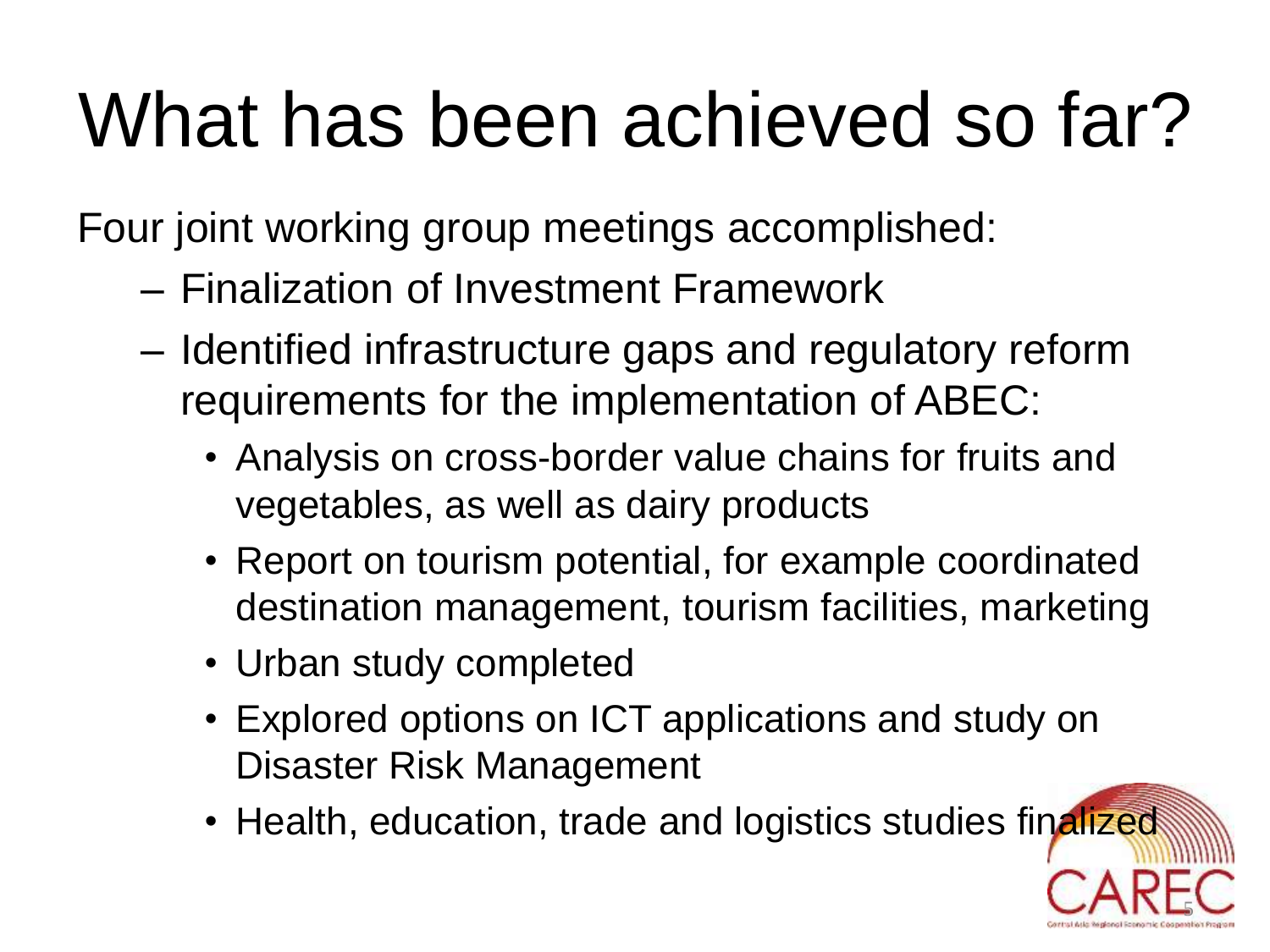# What has been achieved so far?

Four joint working group meetings accomplished:

- Finalization of Investment Framework
- Identified infrastructure gaps and regulatory reform requirements for the implementation of ABEC:
	- Analysis on cross-border value chains for fruits and vegetables, as well as dairy products
	- Report on tourism potential, for example coordinated destination management, tourism facilities, marketing
	- Urban study completed
	- Explored options on ICT applications and study on Disaster Risk Management
	- Health, education, trade and logistics studies finalized

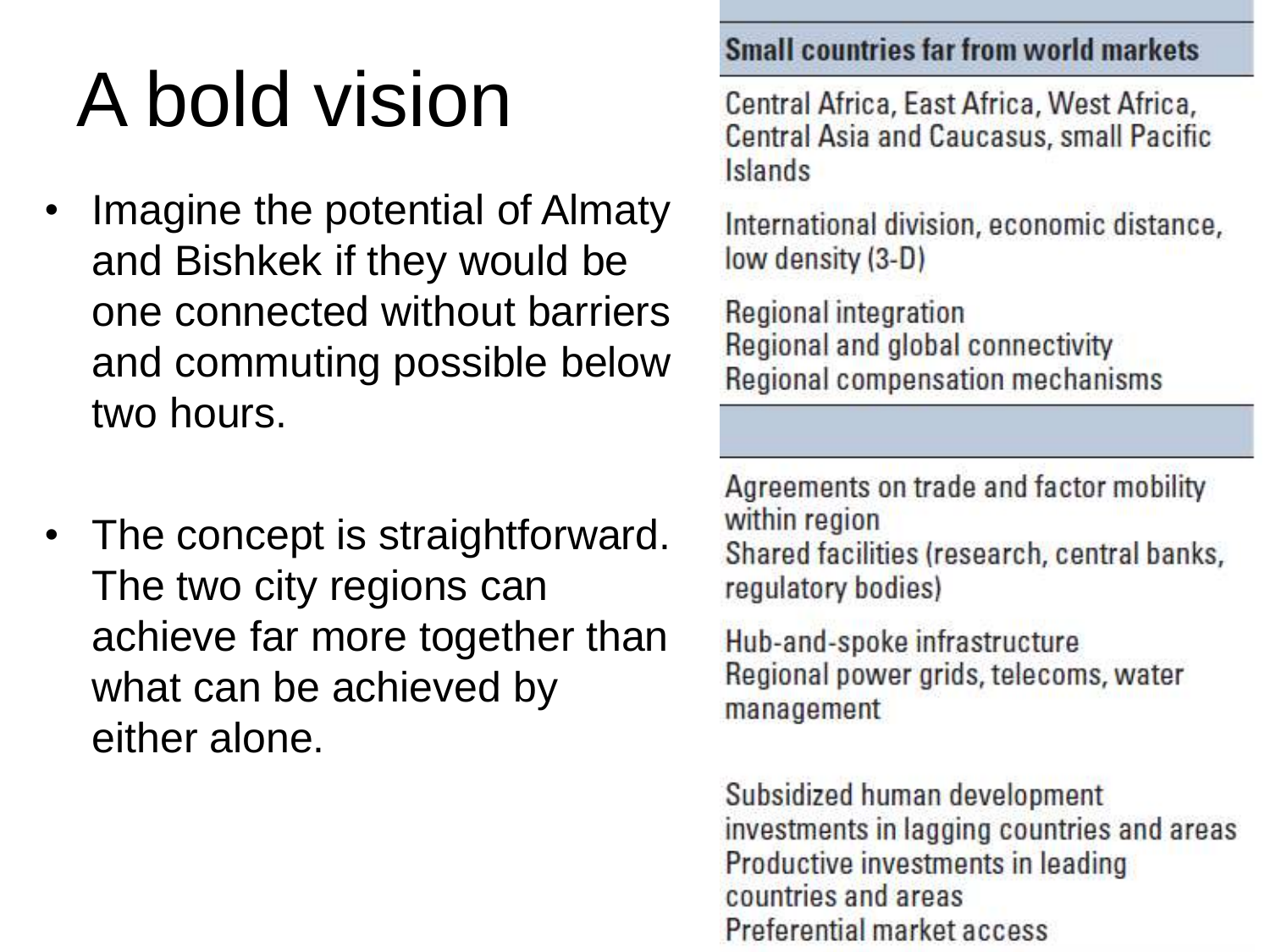# A bold vision

- Imagine the potential of Almaty and Bishkek if they would be one connected without barriers and commuting possible below two hours.
- The concept is straightforward. The two city regions can achieve far more together than what can be achieved by either alone.

#### **Small countries far from world markets**

Central Africa, East Africa, West Africa, **Central Asia and Caucasus, small Pacific** Islands

International division, economic distance, low density (3-D)

Regional integration Regional and global connectivity Regional compensation mechanisms

Agreements on trade and factor mobility within region Shared facilities (research, central banks, regulatory bodies)

Hub-and-spoke infrastructure Regional power grids, telecoms, water management

Subsidized human development investments in lagging countries and areas Productive investments in leading countries and areas Preferential market access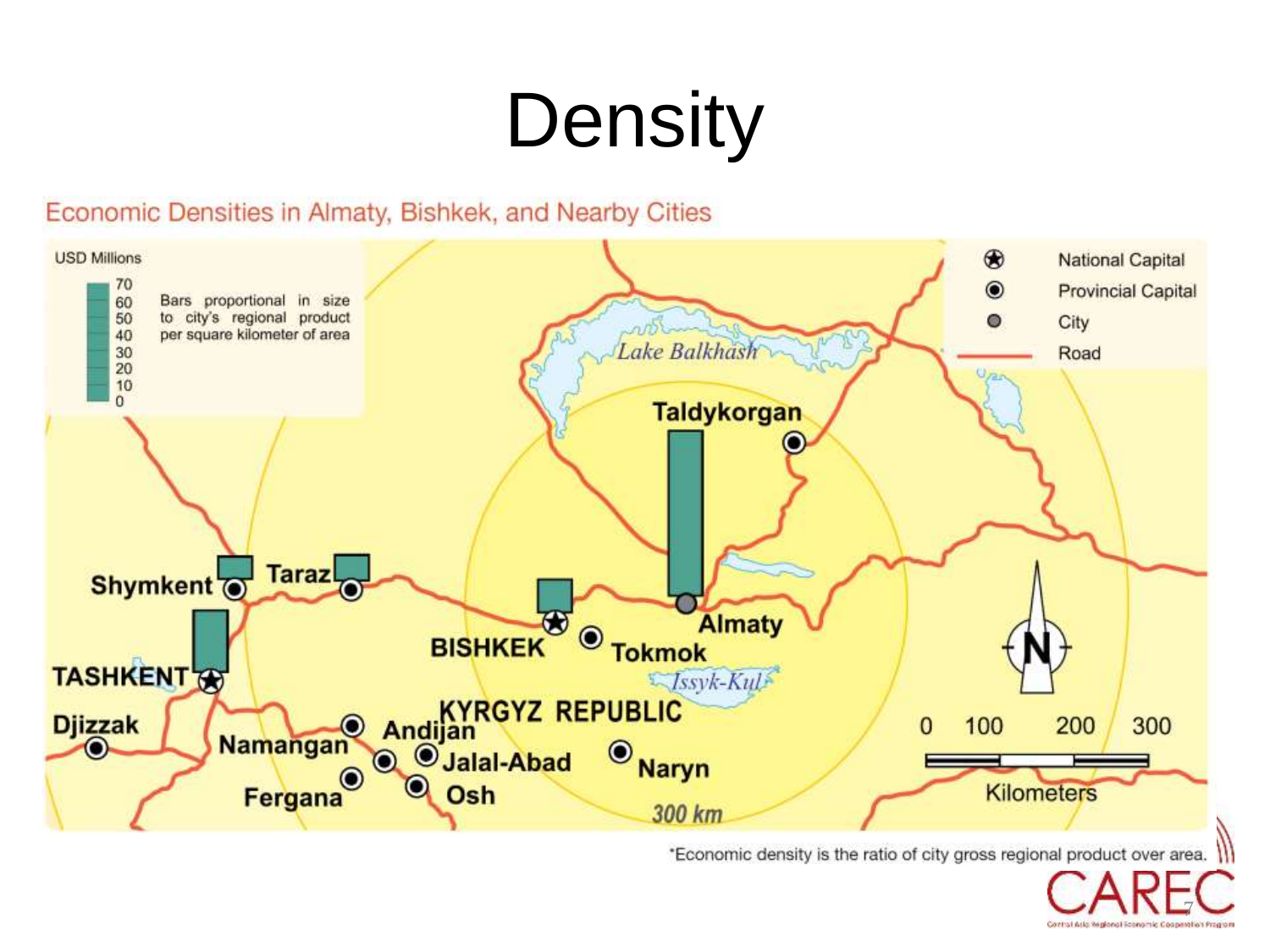# **Density**

#### Economic Densities in Almaty, Bishkek, and Nearby Cities



\*Economic density is the ratio of city gross regional product over area.

7

Control Asia Replaced Shape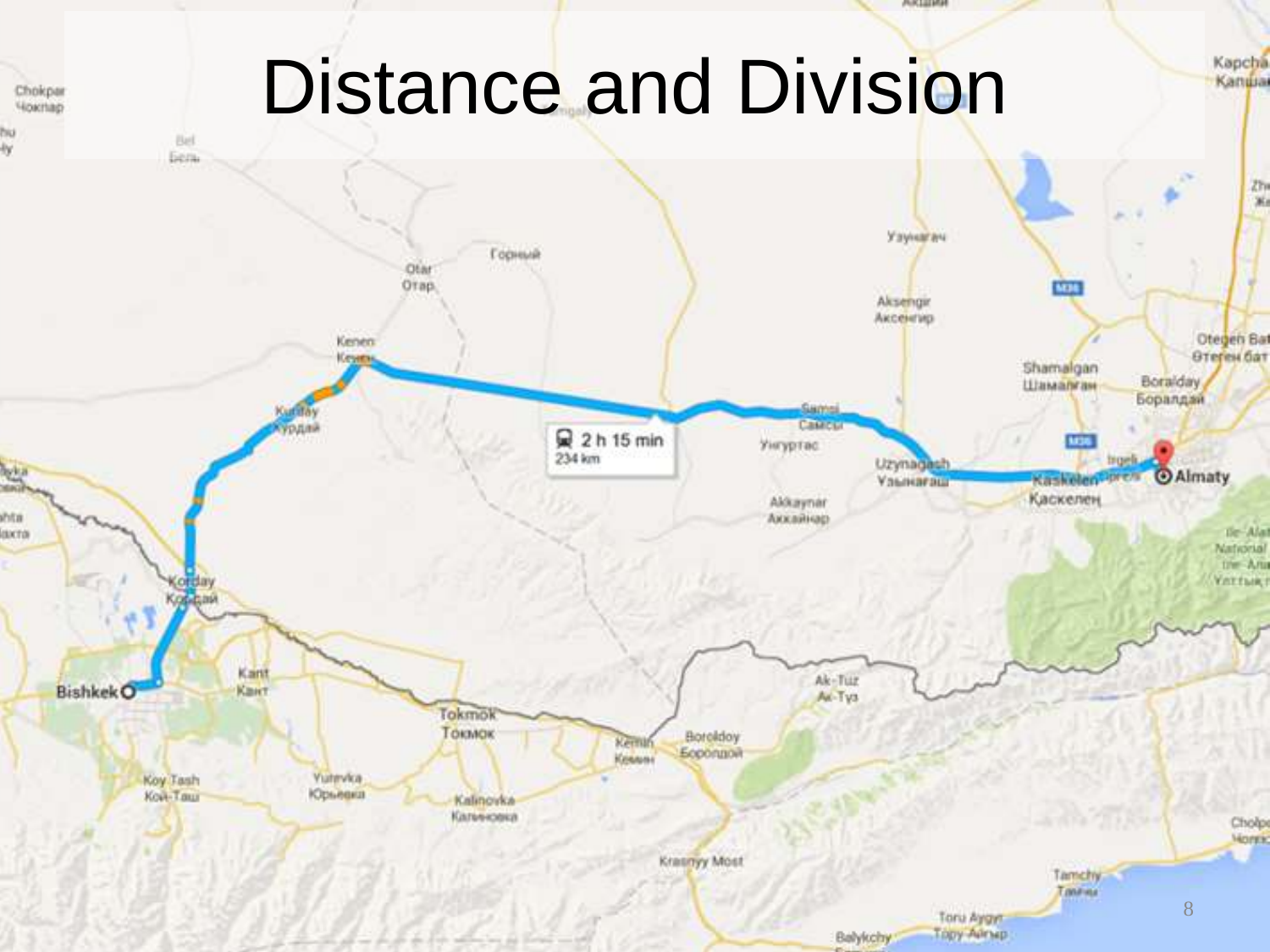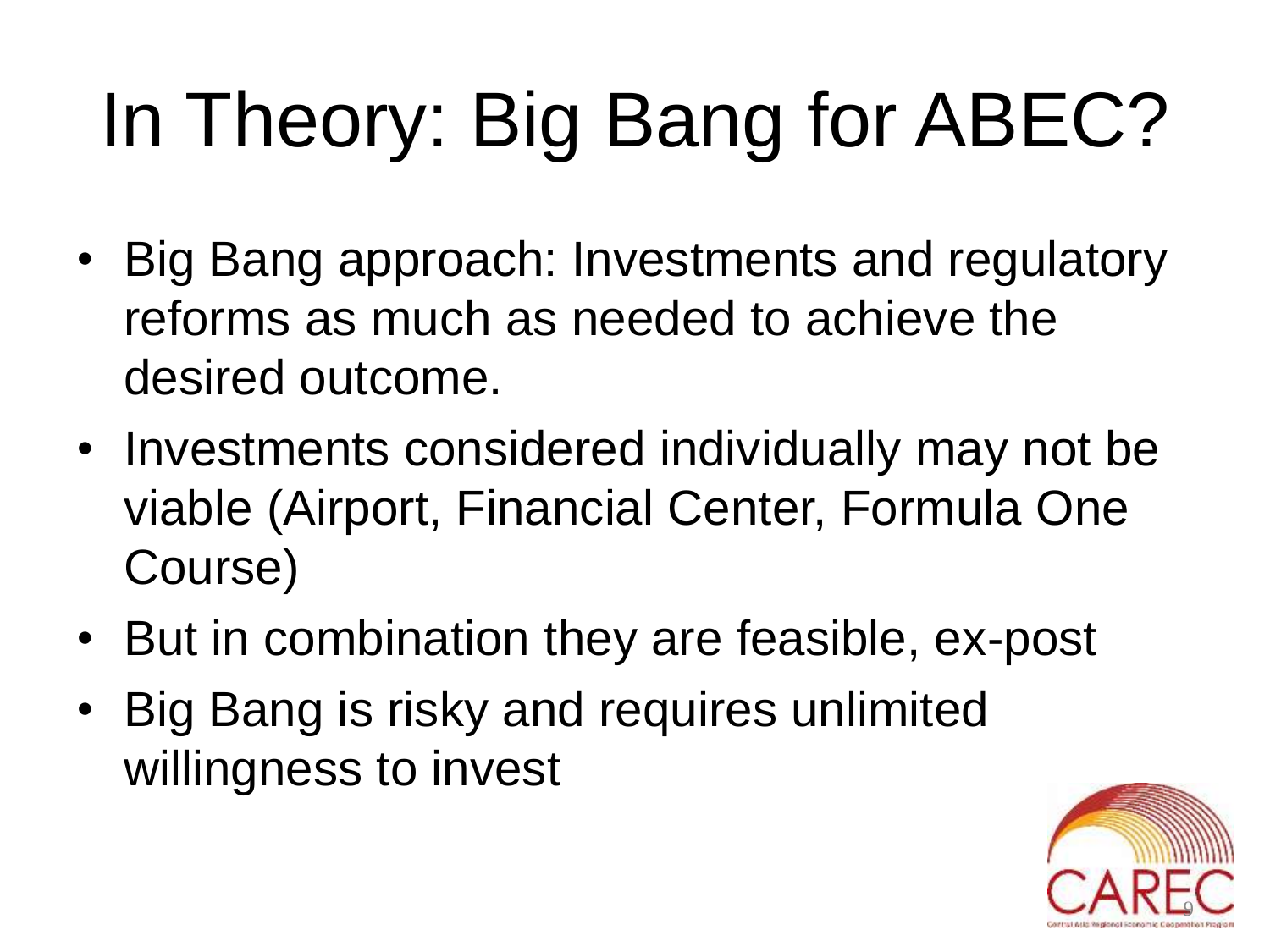# In Theory: Big Bang for ABEC?

- Big Bang approach: Investments and regulatory reforms as much as needed to achieve the desired outcome.
- Investments considered individually may not be viable (Airport, Financial Center, Formula One Course)
- But in combination they are feasible, ex-post
- Big Bang is risky and requires unlimited willingness to invest

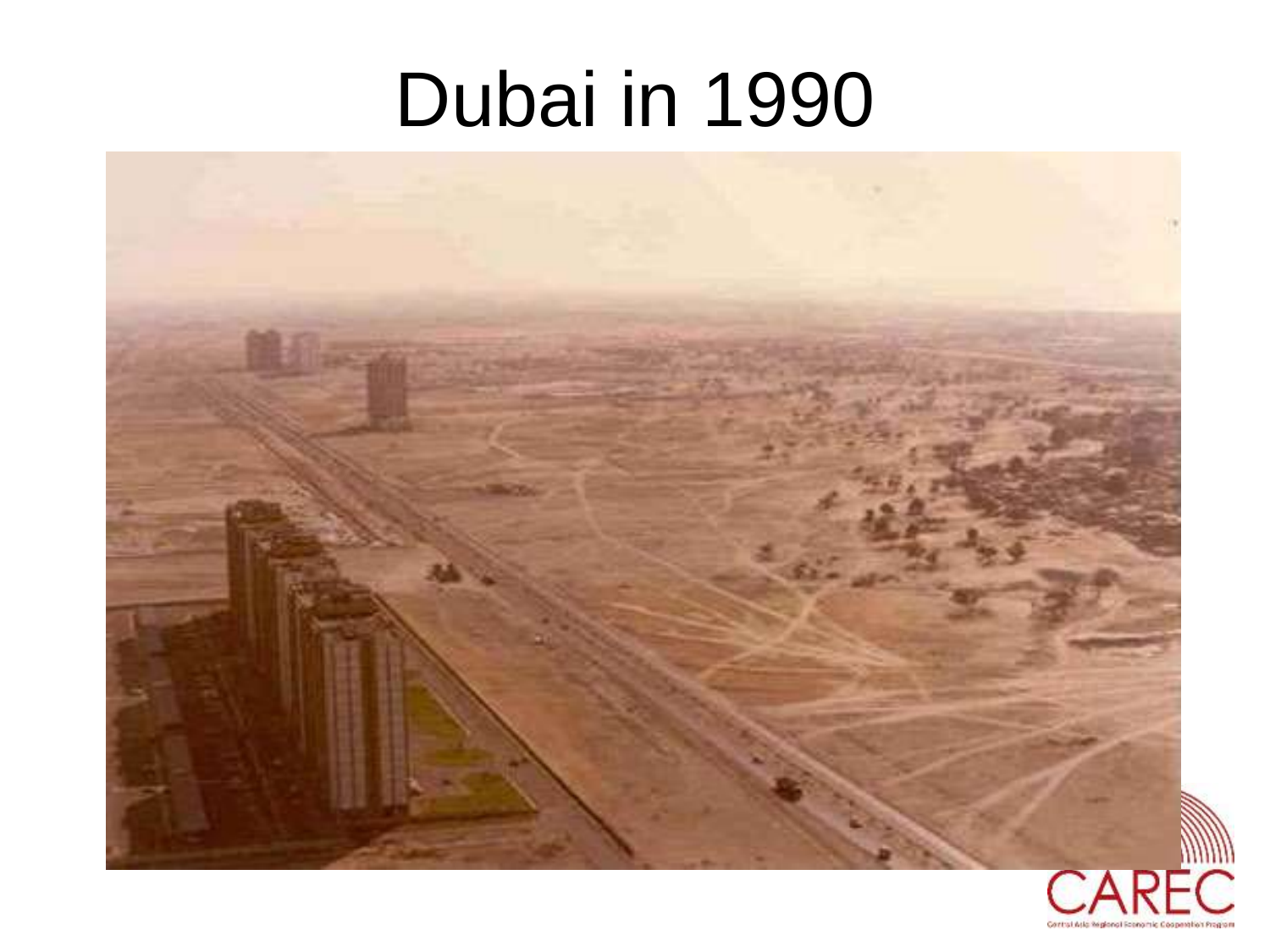## Dubai in 1990



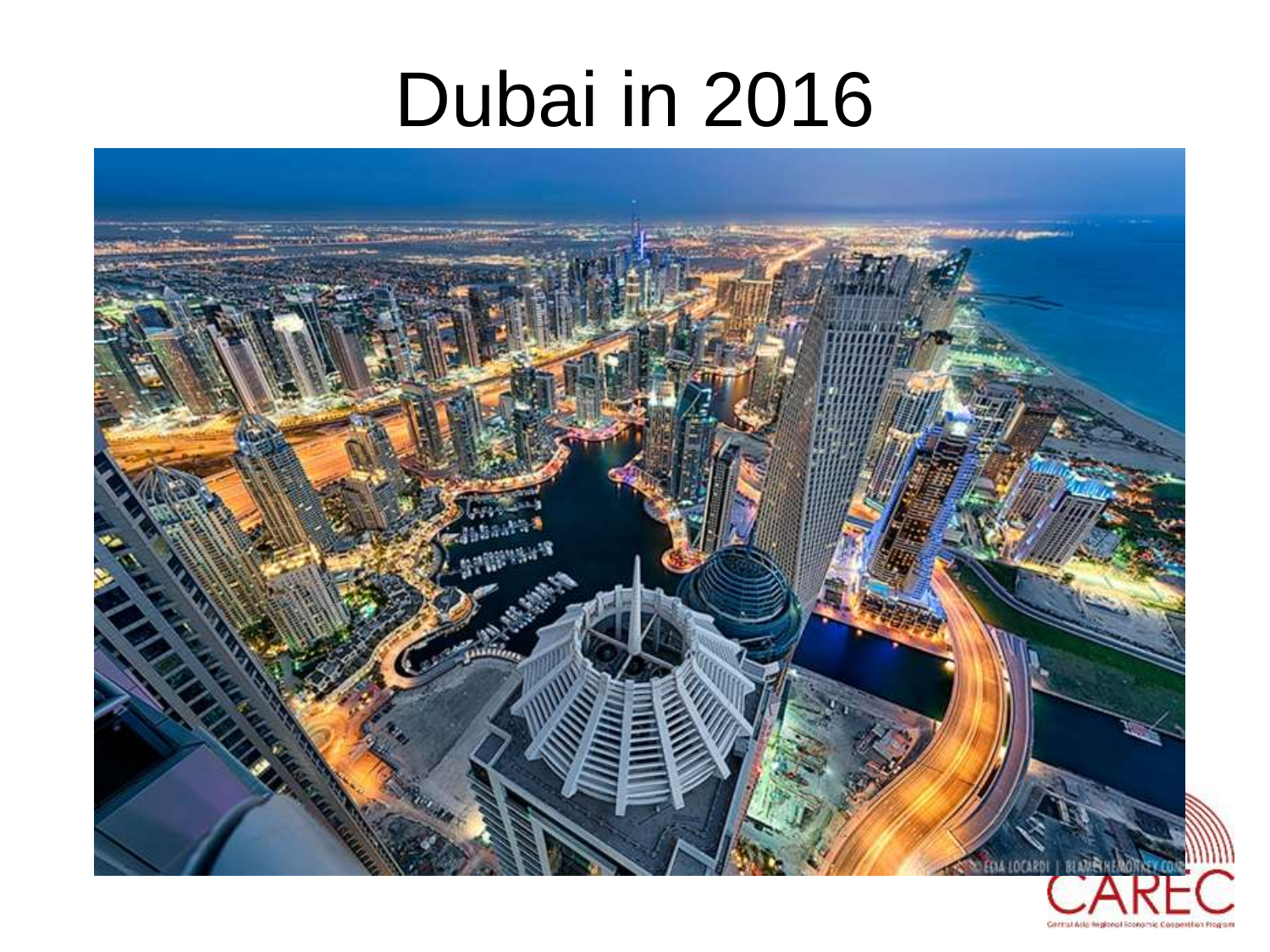### Dubai in 2016

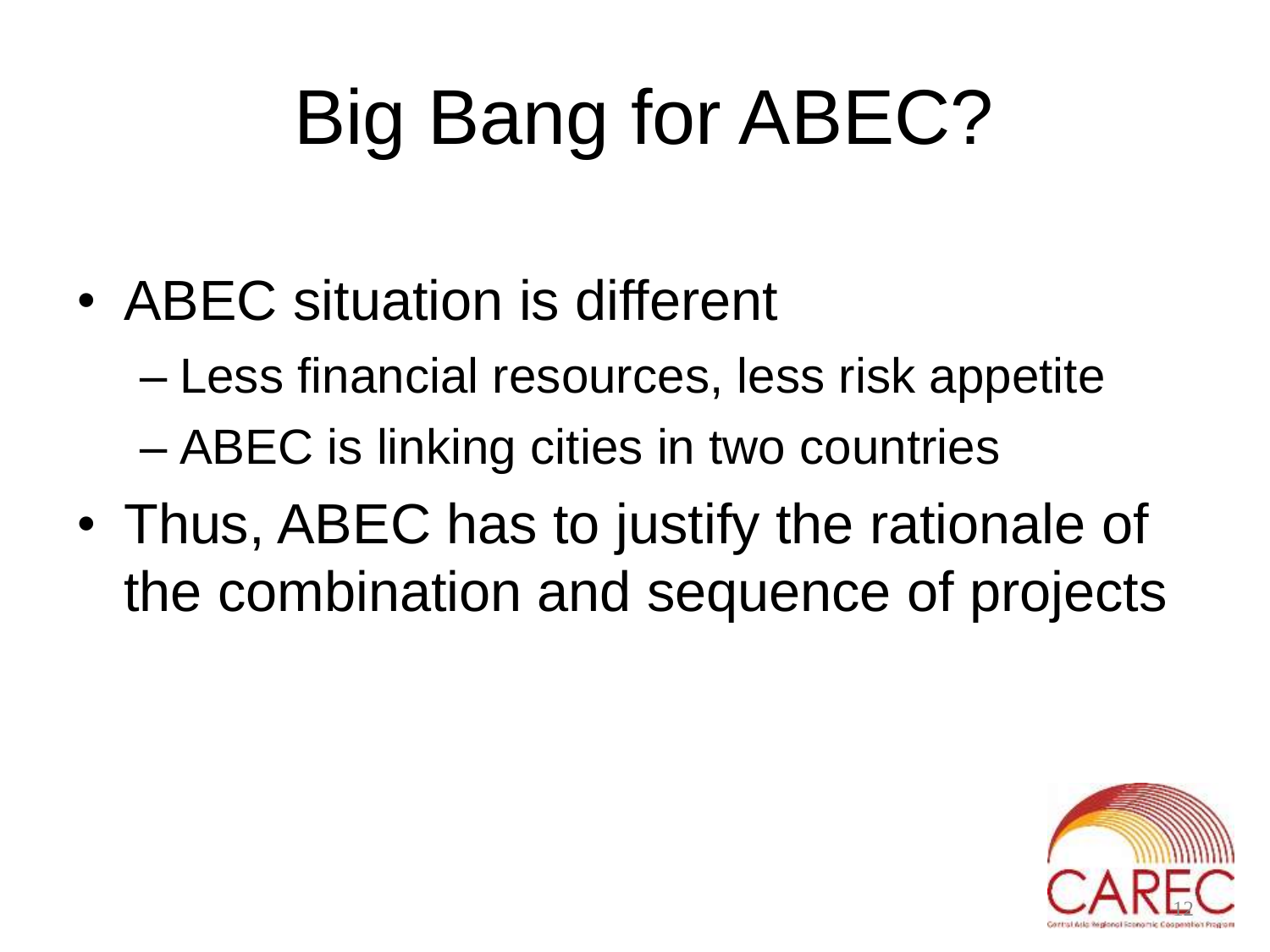# Big Bang for ABEC?

• ABEC situation is different

– Less financial resources, less risk appetite – ABEC is linking cities in two countries

• Thus, ABEC has to justify the rationale of the combination and sequence of projects

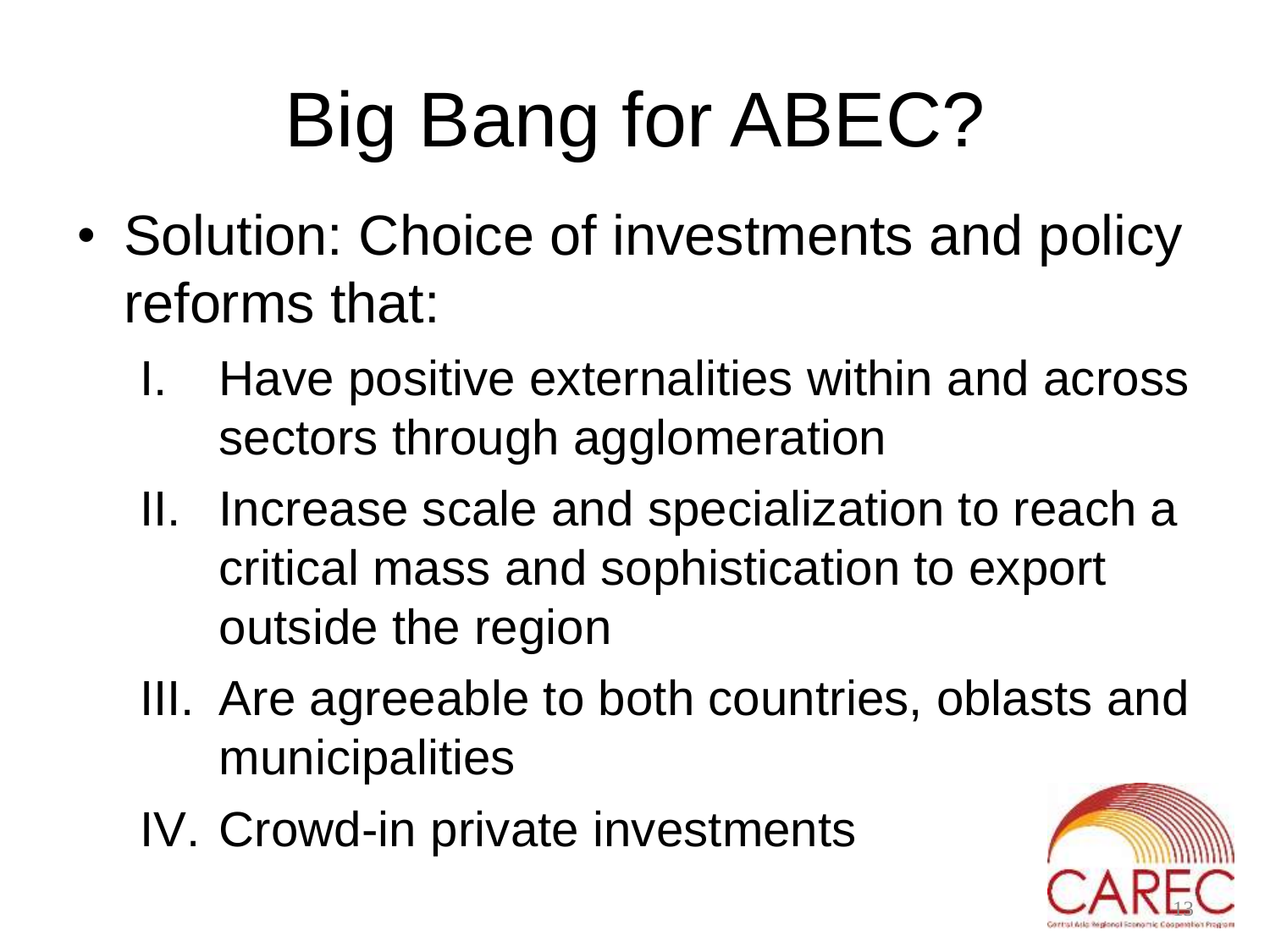# Big Bang for ABEC?

- Solution: Choice of investments and policy reforms that:
	- I. Have positive externalities within and across sectors through agglomeration
	- II. Increase scale and specialization to reach a critical mass and sophistication to export outside the region
	- III. Are agreeable to both countries, oblasts and municipalities
	- IV. Crowd-in private investments

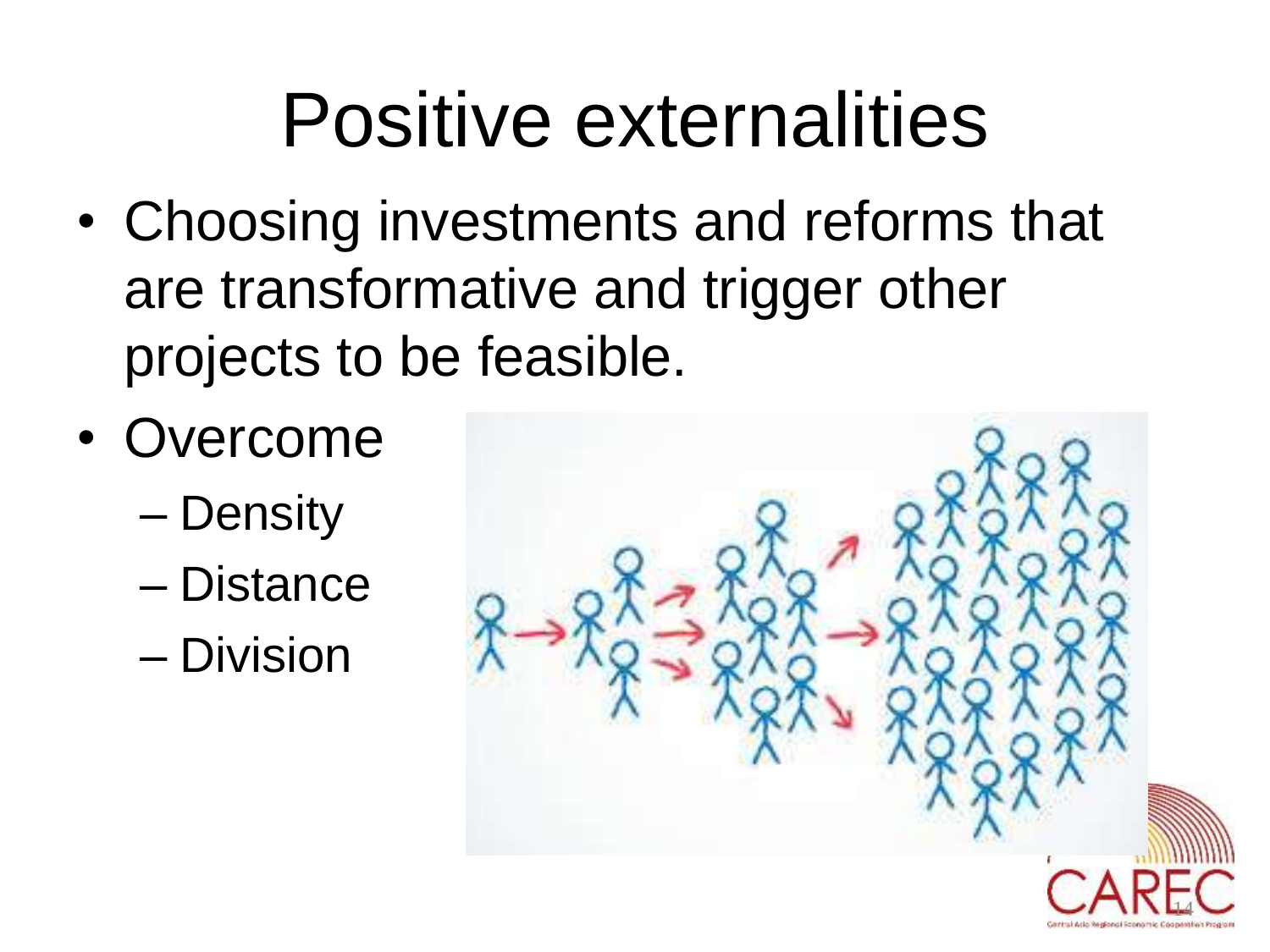# Positive externalities

- Choosing investments and reforms that are transformative and trigger other projects to be feasible.
- Overcome
	- Density
	- Distance
	- Division

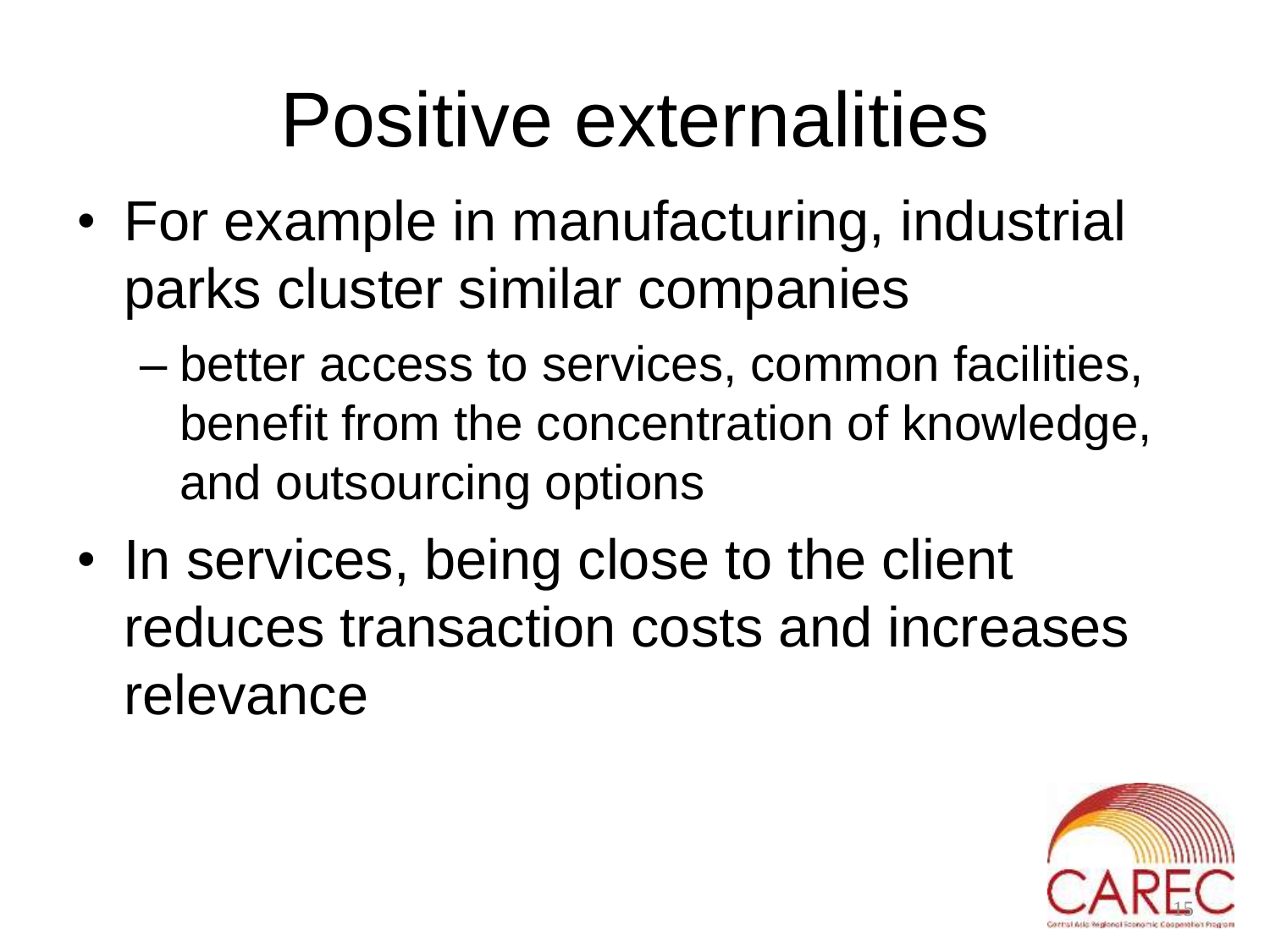# Positive externalities

- For example in manufacturing, industrial parks cluster similar companies
	- better access to services, common facilities, benefit from the concentration of knowledge, and outsourcing options
- In services, being close to the client reduces transaction costs and increases relevance

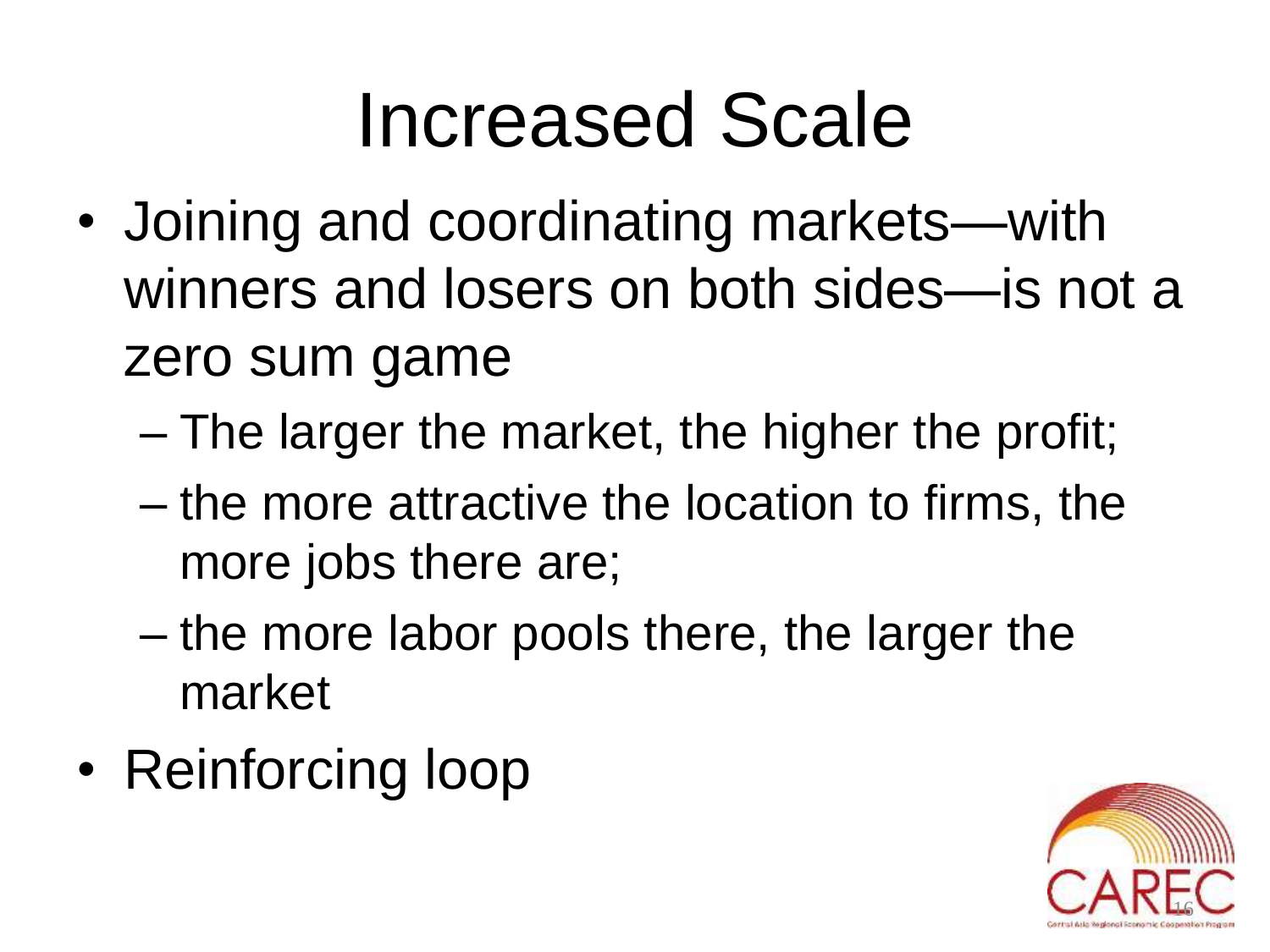## Increased Scale

- Joining and coordinating markets—with winners and losers on both sides—is not a zero sum game
	- The larger the market, the higher the profit;
	- the more attractive the location to firms, the more jobs there are;
	- the more labor pools there, the larger the market
- Reinforcing loop

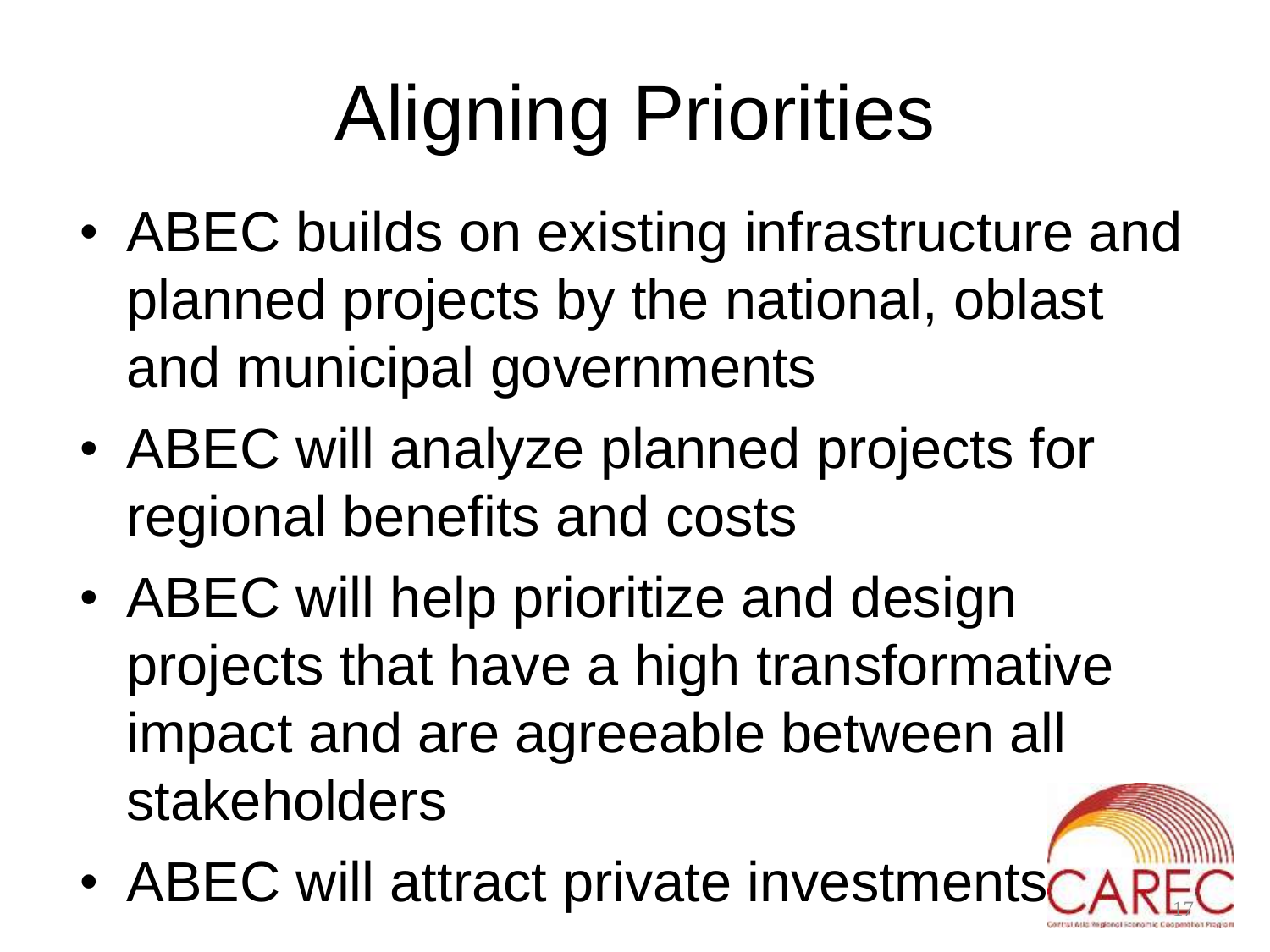# Aligning Priorities

- ABEC builds on existing infrastructure and planned projects by the national, oblast and municipal governments
- ABEC will analyze planned projects for regional benefits and costs
- ABEC will help prioritize and design projects that have a high transformative impact and are agreeable between all stakeholders
- ABEC will attract private investment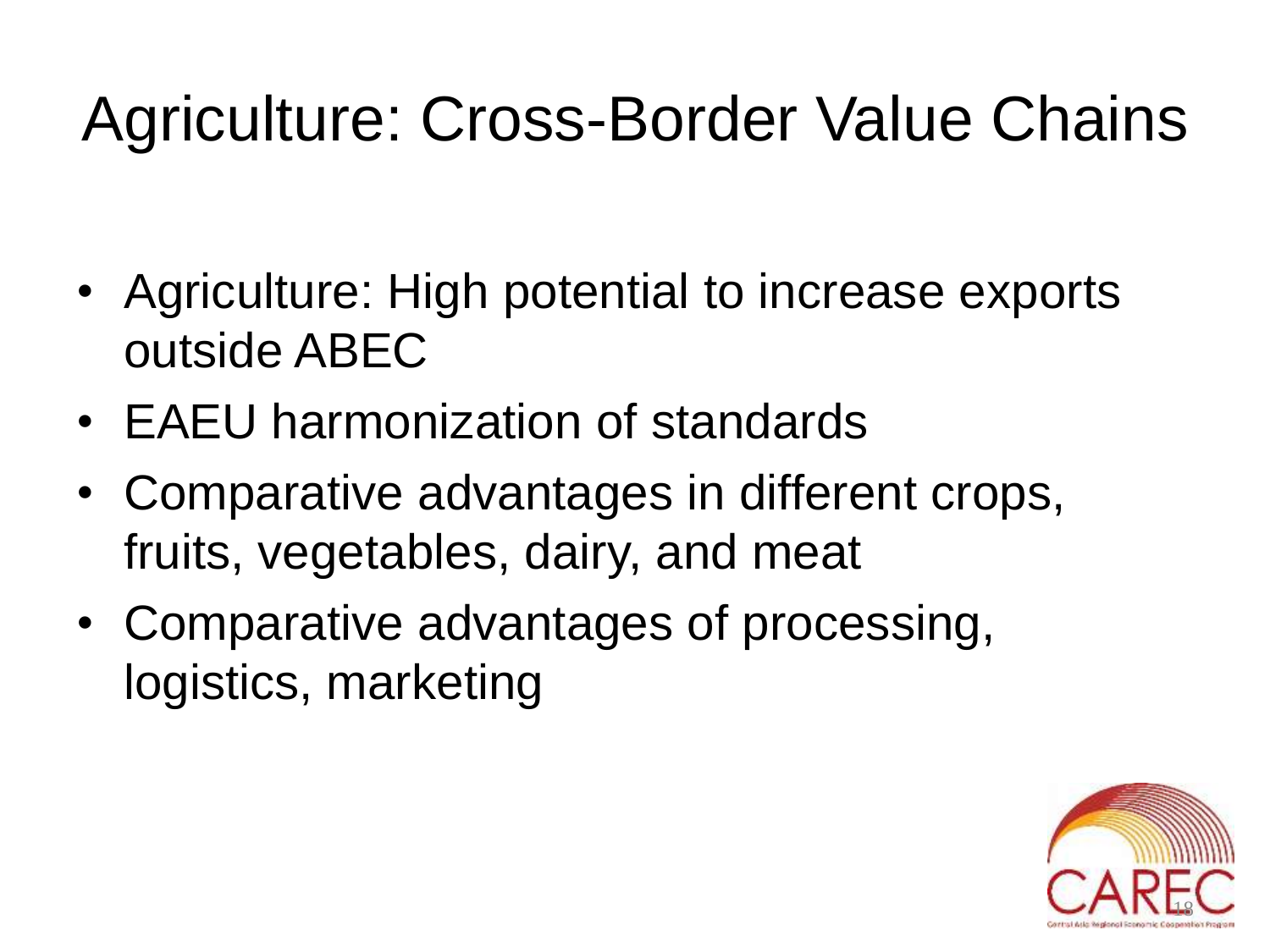#### Agriculture: Cross-Border Value Chains

- Agriculture: High potential to increase exports outside ABEC
- EAEU harmonization of standards
- Comparative advantages in different crops, fruits, vegetables, dairy, and meat
- Comparative advantages of processing, logistics, marketing

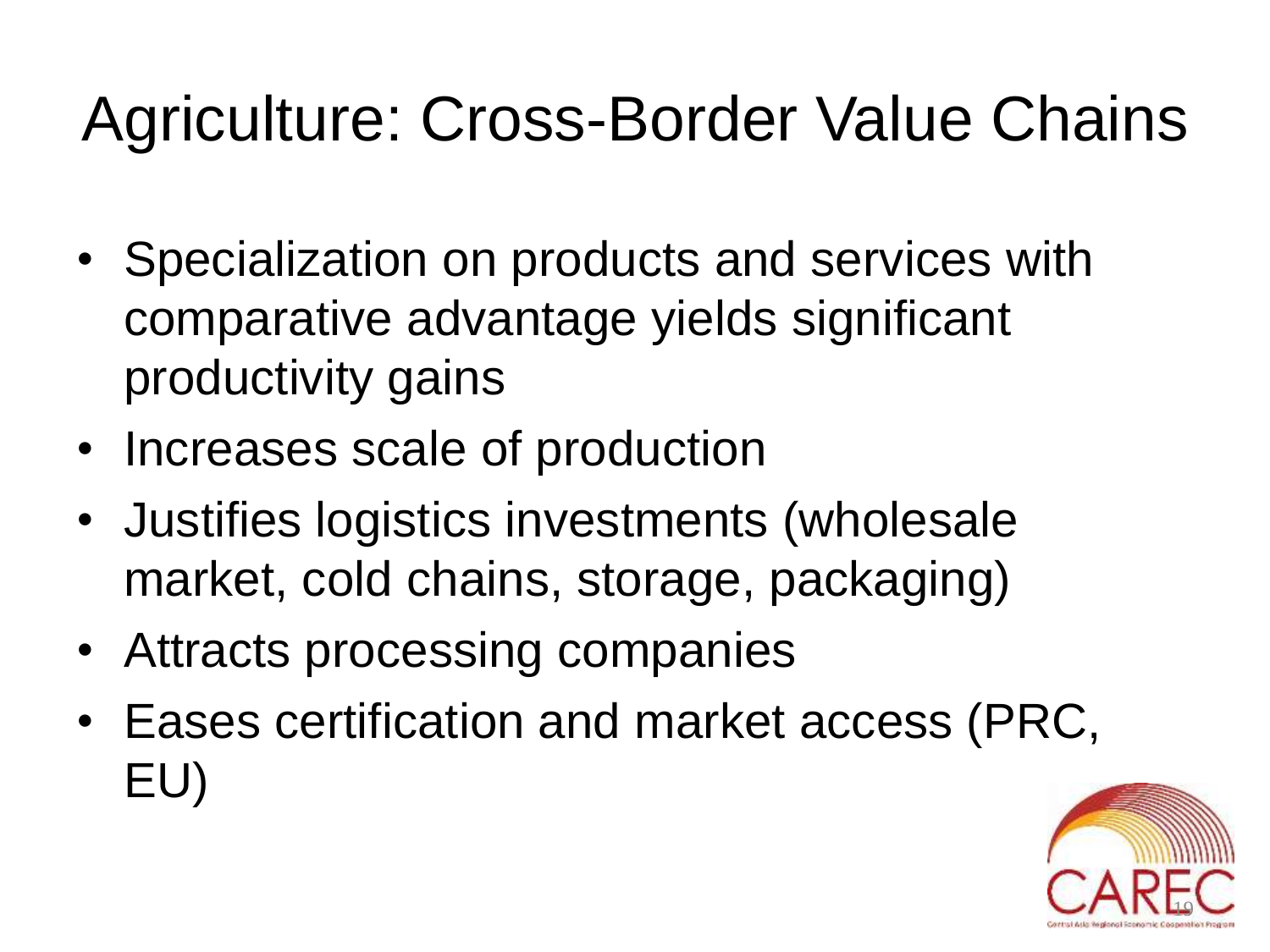#### Agriculture: Cross-Border Value Chains

- Specialization on products and services with comparative advantage yields significant productivity gains
- Increases scale of production
- Justifies logistics investments (wholesale market, cold chains, storage, packaging)
- Attracts processing companies
- Eases certification and market access (PRC, EU)

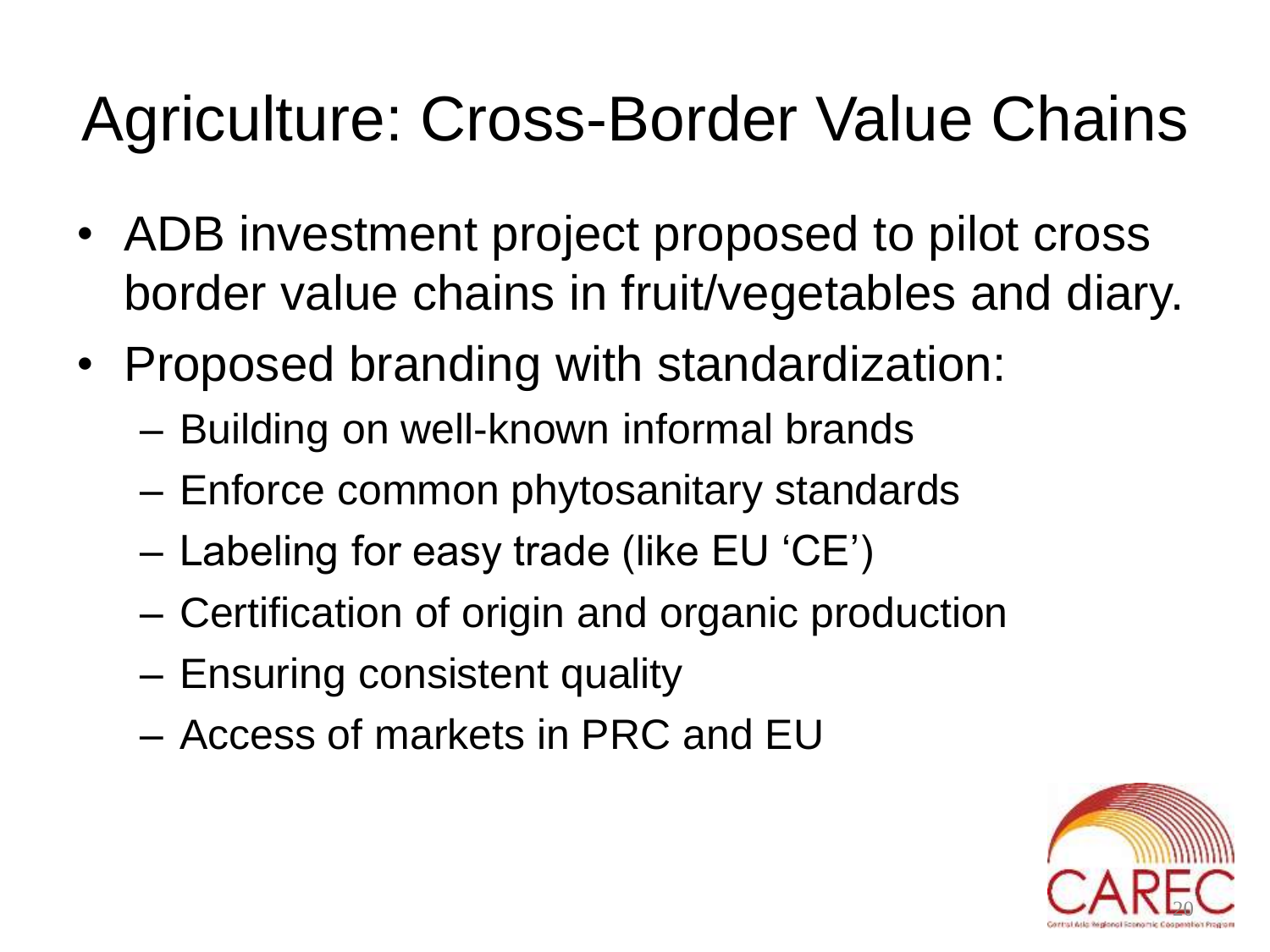#### Agriculture: Cross-Border Value Chains

- ADB investment project proposed to pilot cross border value chains in fruit/vegetables and diary.
- Proposed branding with standardization:
	- Building on well-known informal brands
	- Enforce common phytosanitary standards
	- Labeling for easy trade (like EU 'CE')
	- Certification of origin and organic production
	- Ensuring consistent quality
	- Access of markets in PRC and EU

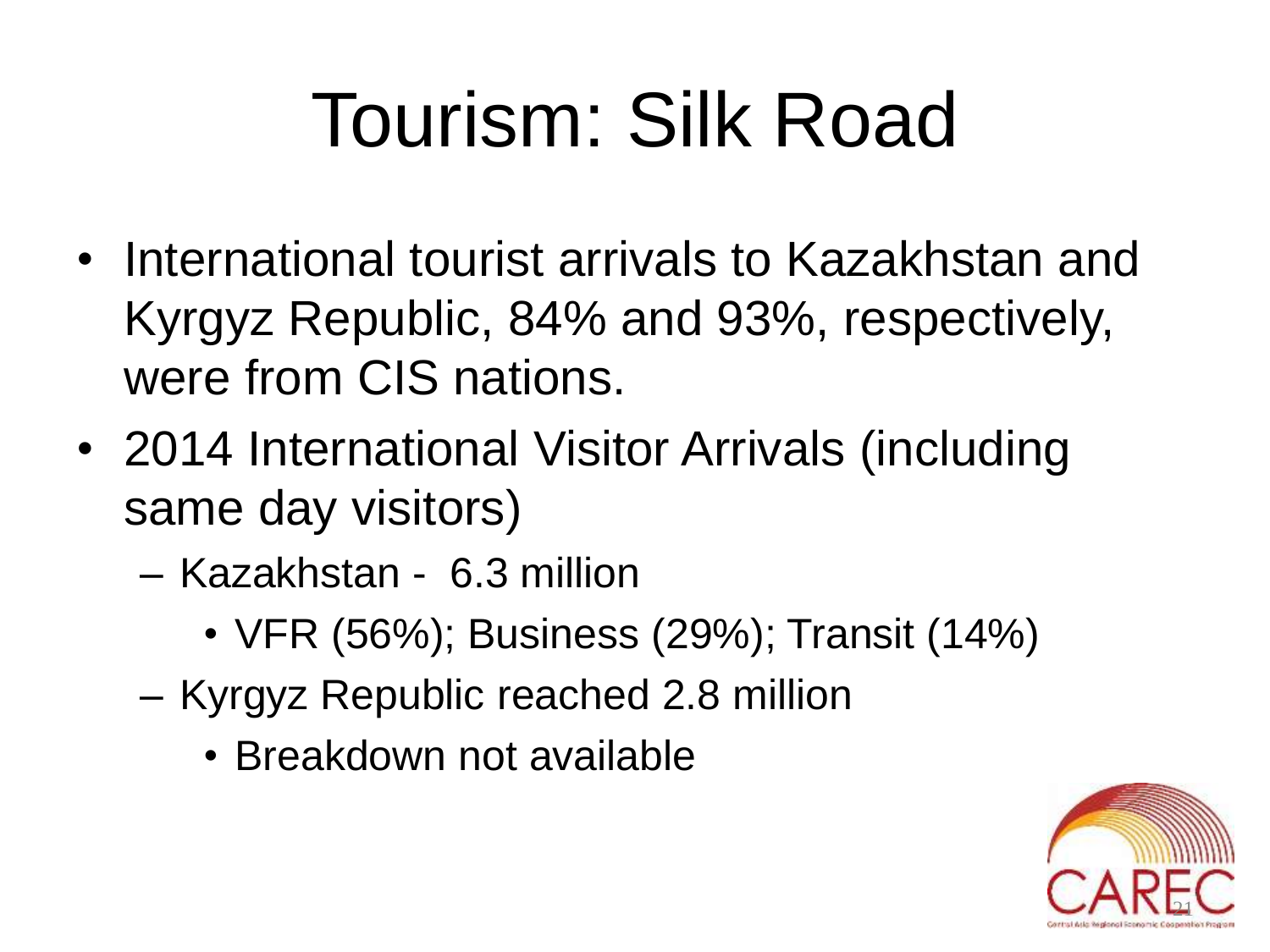# Tourism: Silk Road

- International tourist arrivals to Kazakhstan and Kyrgyz Republic, 84% and 93%, respectively, were from CIS nations.
- 2014 International Visitor Arrivals (including same day visitors)
	- Kazakhstan 6.3 million
		- VFR (56%); Business (29%); Transit (14%)
	- Kyrgyz Republic reached 2.8 million
		- Breakdown not available

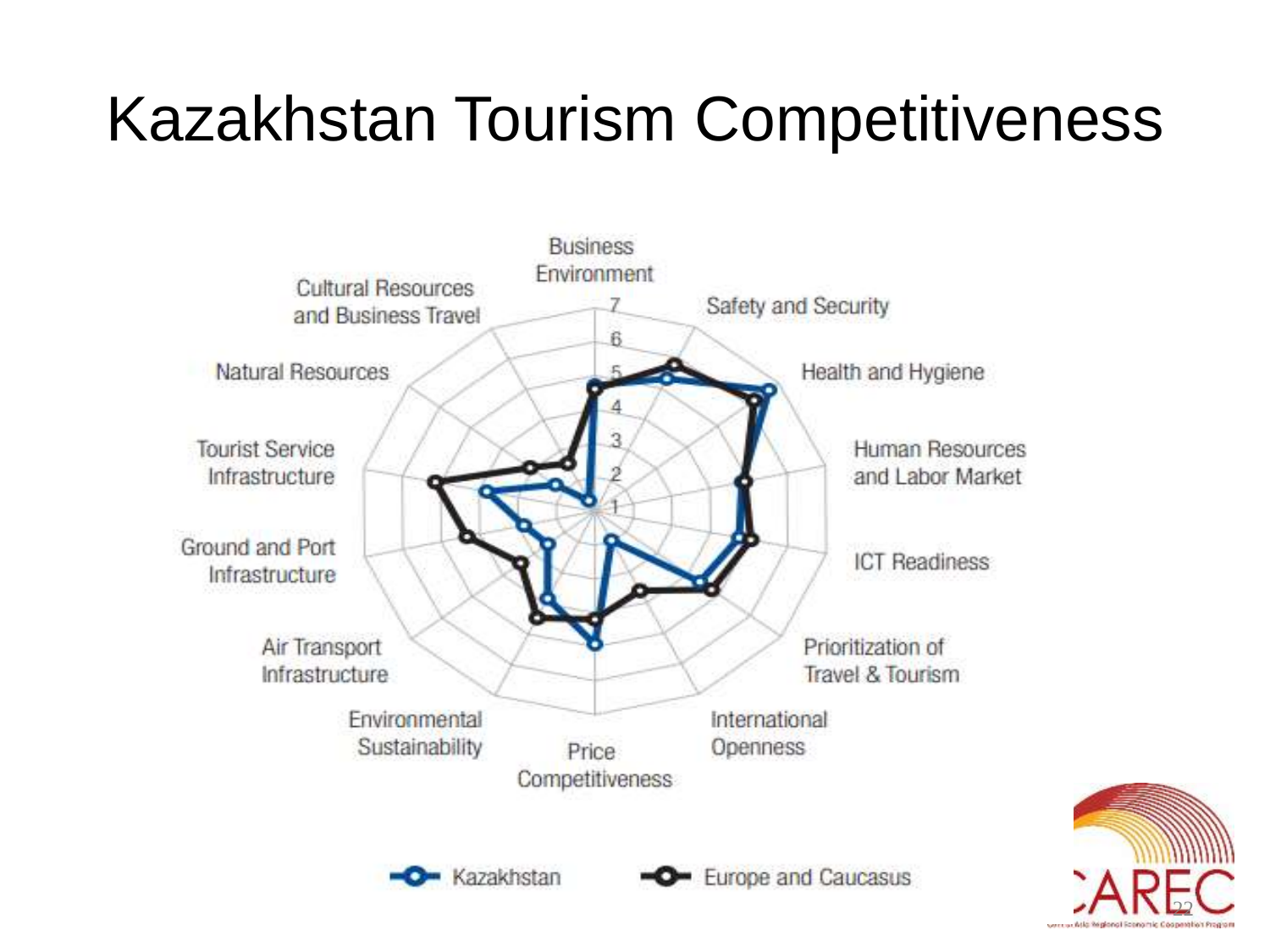#### Kazakhstan Tourism Competitiveness



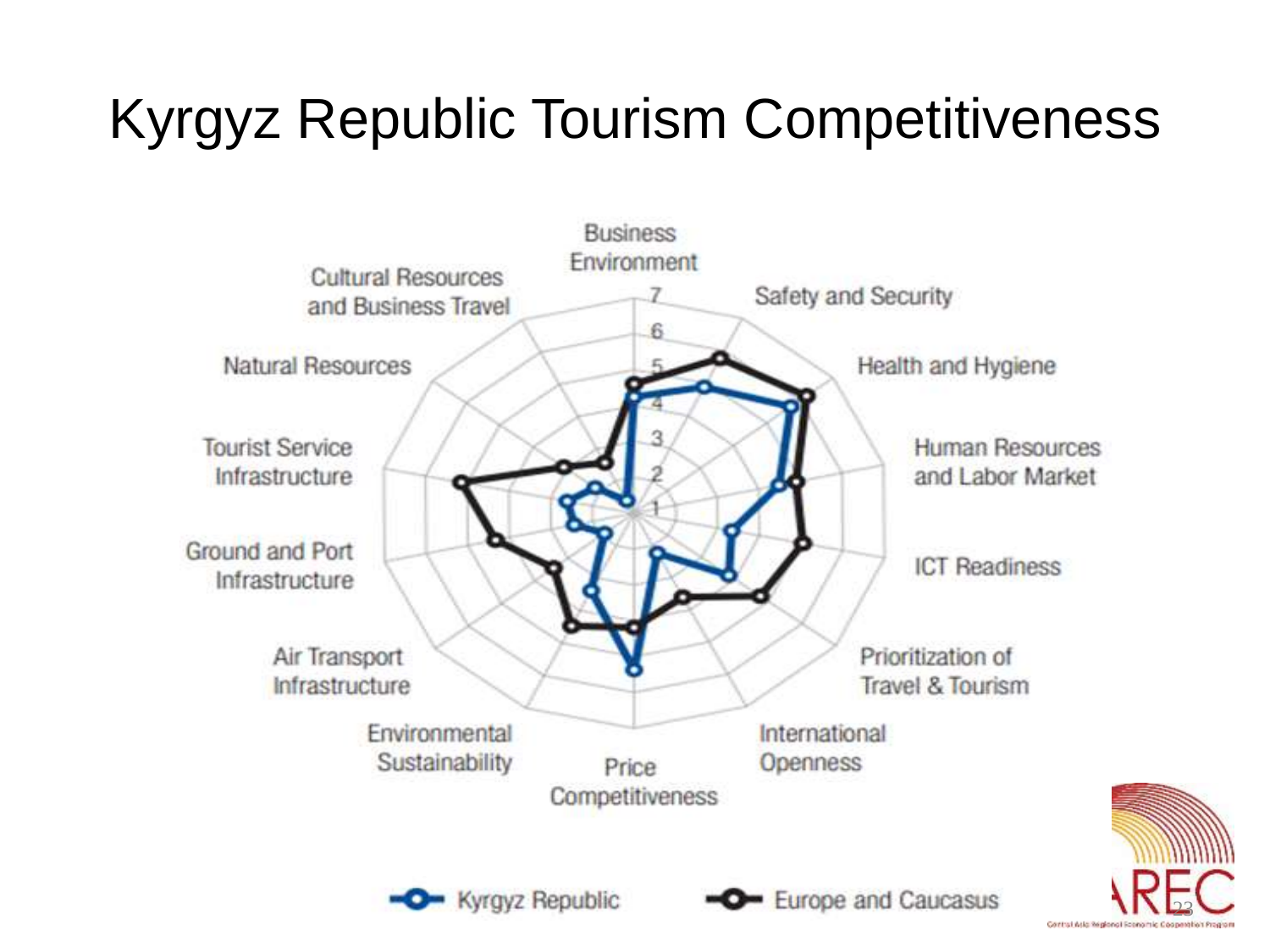#### Kyrgyz Republic Tourism Competitiveness



23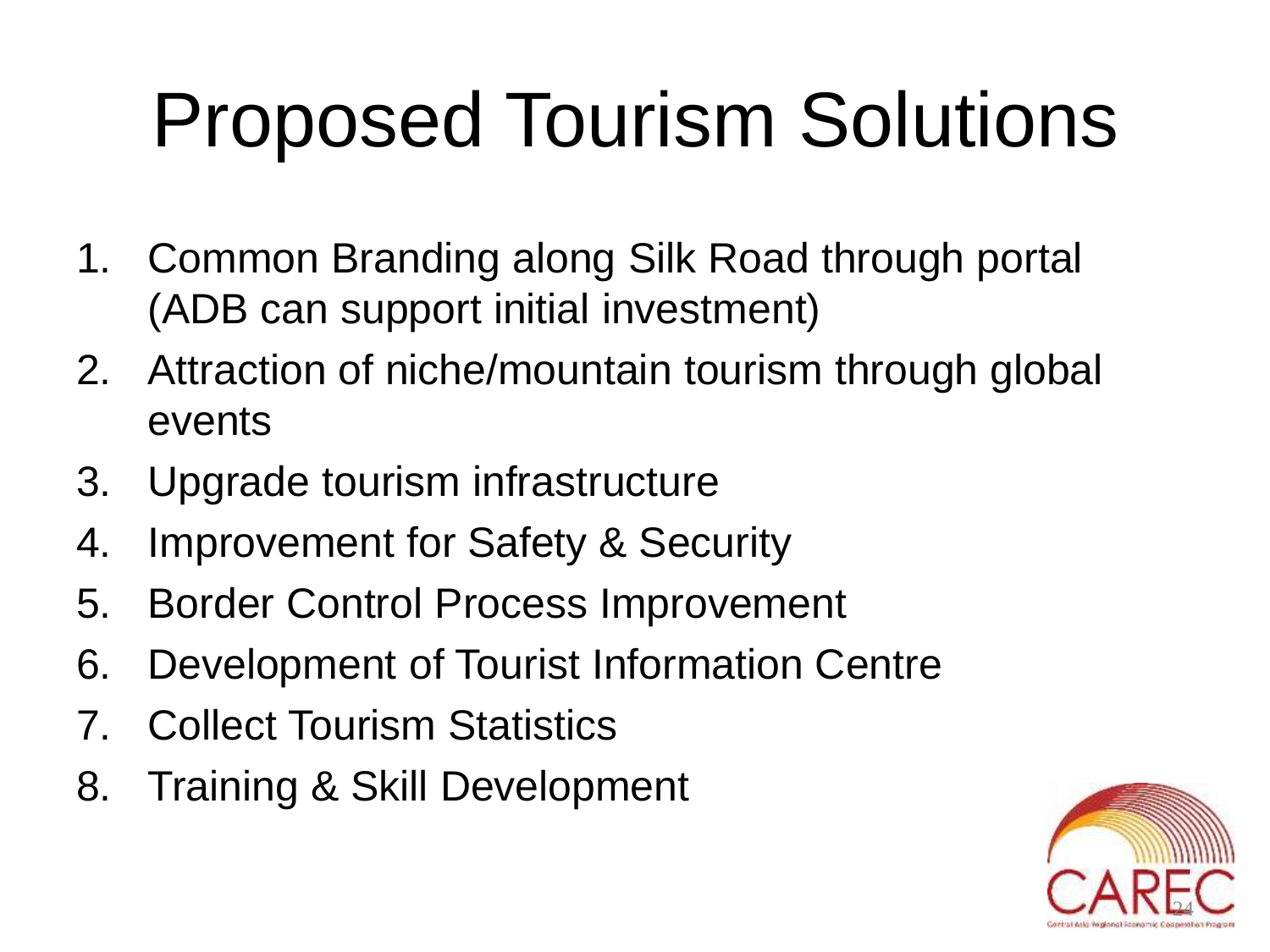# Proposed Tourism Solutions

- 1. Common Branding along Silk Road through portal (ADB can support initial investment)
- 2. Attraction of niche/mountain tourism through global events
- 3. Upgrade tourism infrastructure
- 4. Improvement for Safety & Security
- 5. Border Control Process Improvement
- 6. Development of Tourist Information Centre
- 7. Collect Tourism Statistics
- 8. Training & Skill Development

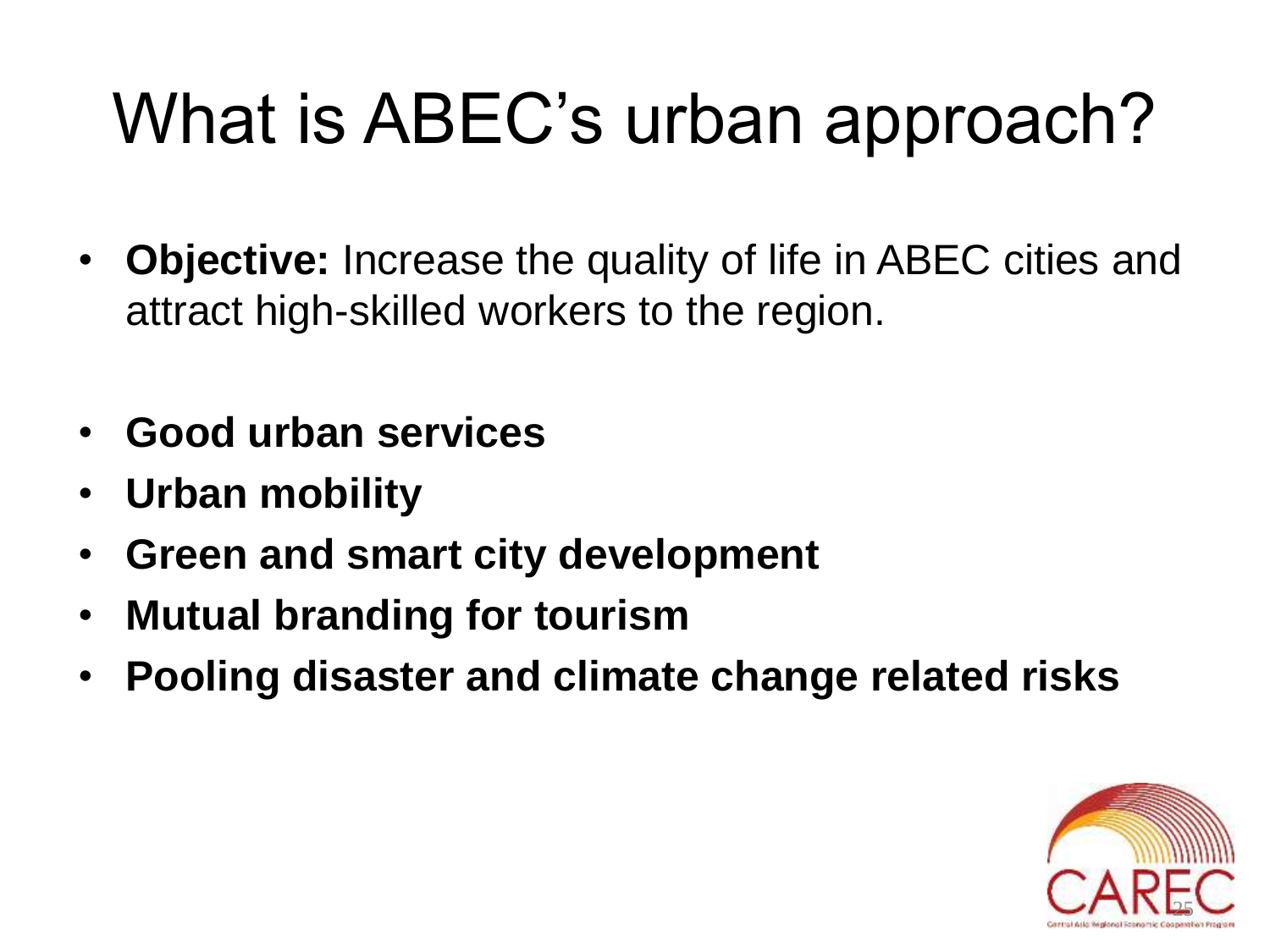## What is ABEC's urban approach?

- **Objective:** Increase the quality of life in ABEC cities and attract high-skilled workers to the region.
- **Good urban services**
- **Urban mobility**
- **Green and smart city development**
- **Mutual branding for tourism**
- **Pooling disaster and climate change related risks**

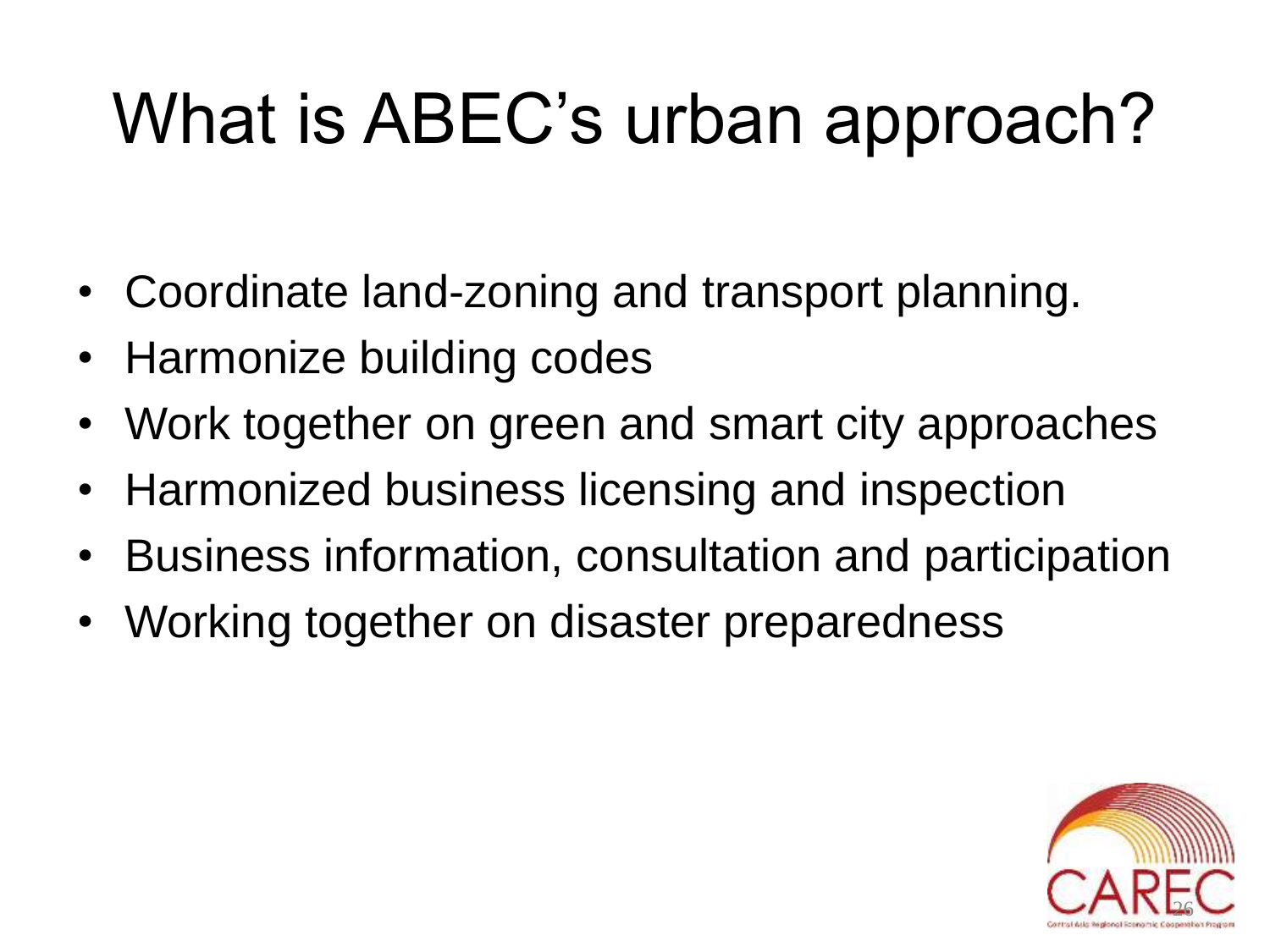## What is ABEC's urban approach?

- Coordinate land-zoning and transport planning.
- Harmonize building codes
- Work together on green and smart city approaches
- Harmonized business licensing and inspection
- Business information, consultation and participation
- Working together on disaster preparedness

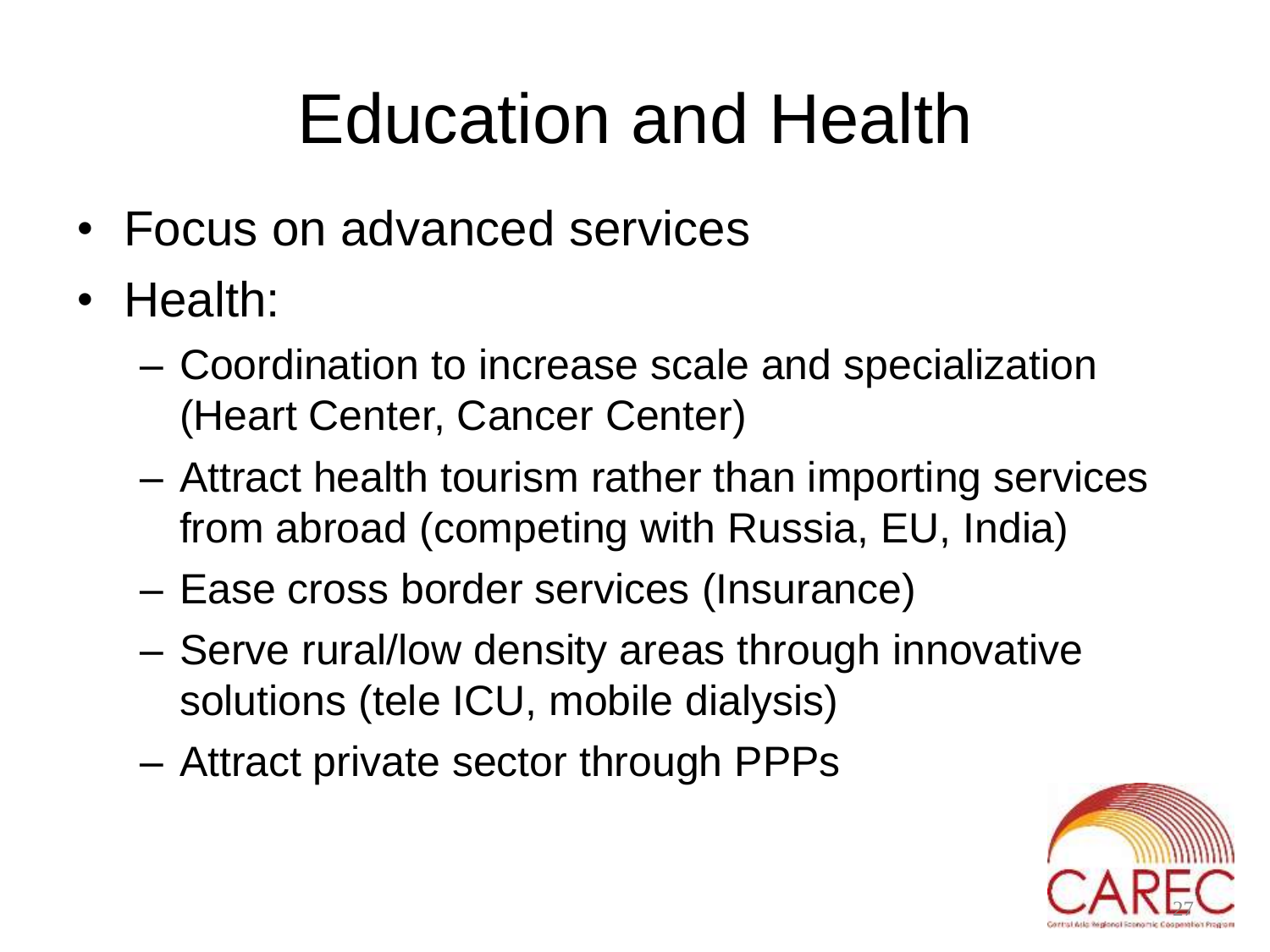## Education and Health

- Focus on advanced services
- Health:
	- Coordination to increase scale and specialization (Heart Center, Cancer Center)
	- Attract health tourism rather than importing services from abroad (competing with Russia, EU, India)
	- Ease cross border services (Insurance)
	- Serve rural/low density areas through innovative solutions (tele ICU, mobile dialysis)
	- Attract private sector through PPPs

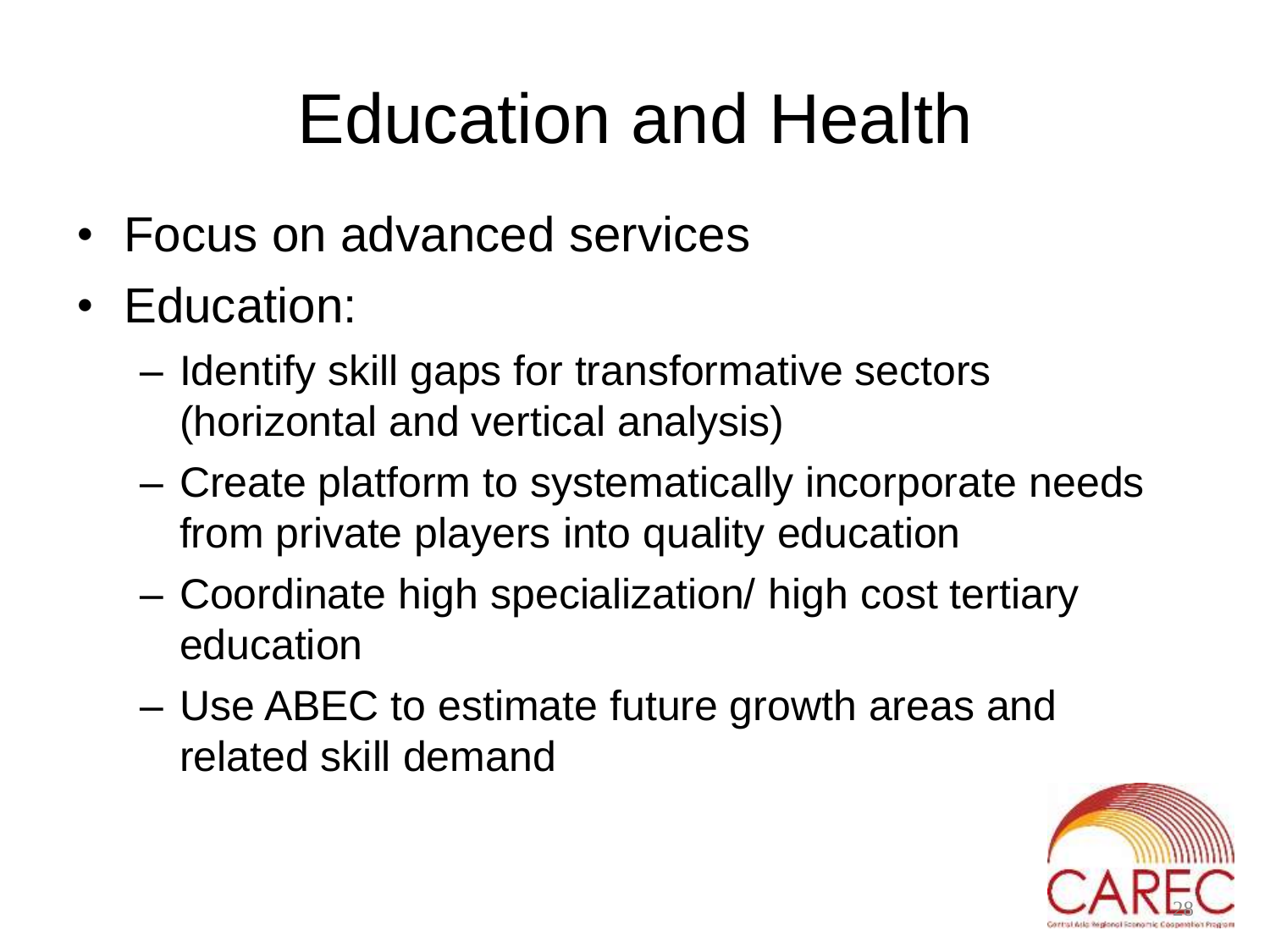### Education and Health

- Focus on advanced services
- Education:
	- Identify skill gaps for transformative sectors (horizontal and vertical analysis)
	- Create platform to systematically incorporate needs from private players into quality education
	- Coordinate high specialization/ high cost tertiary education
	- Use ABEC to estimate future growth areas and related skill demand

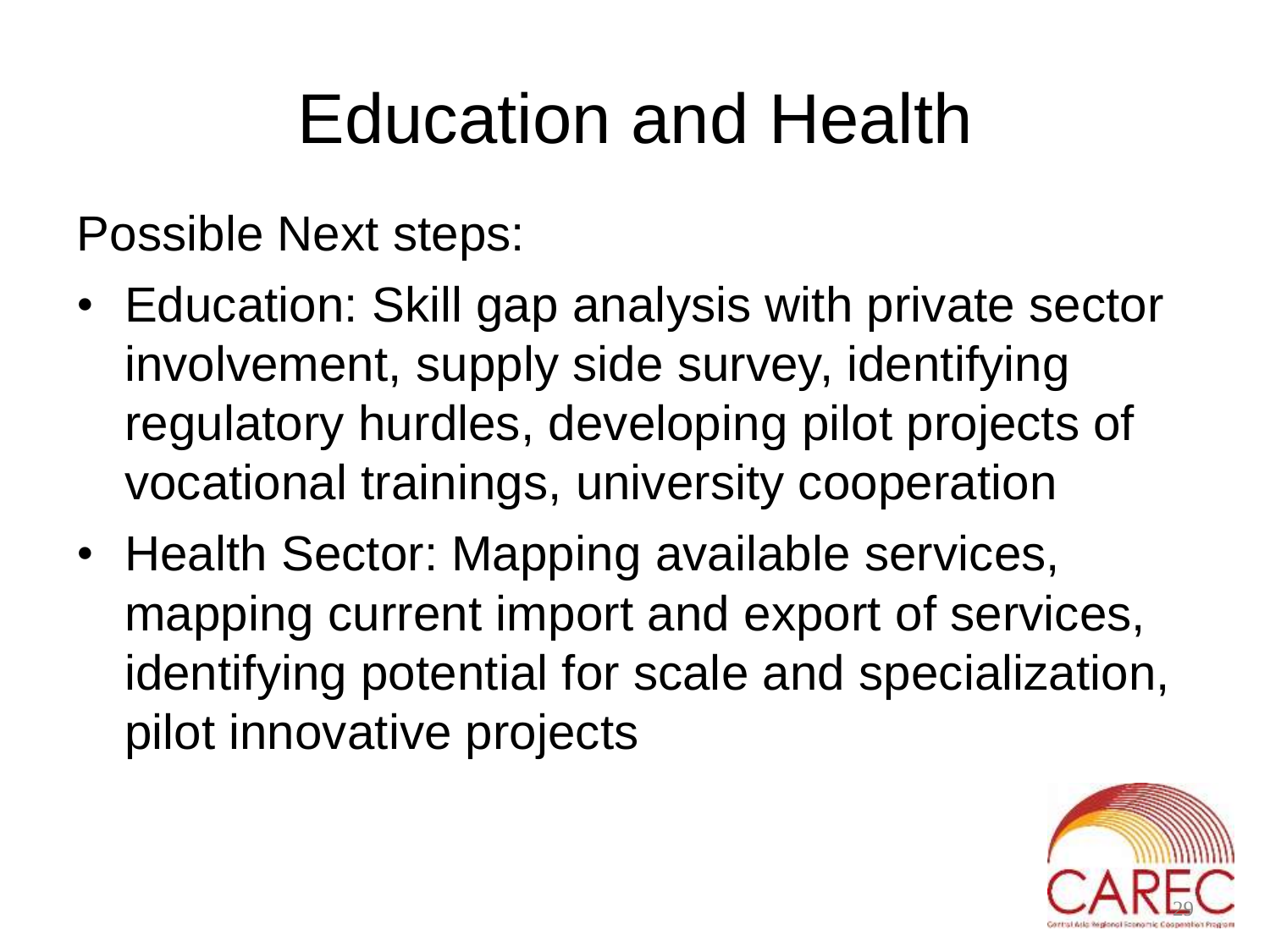### Education and Health

Possible Next steps:

- Education: Skill gap analysis with private sector involvement, supply side survey, identifying regulatory hurdles, developing pilot projects of vocational trainings, university cooperation
- Health Sector: Mapping available services, mapping current import and export of services, identifying potential for scale and specialization, pilot innovative projects

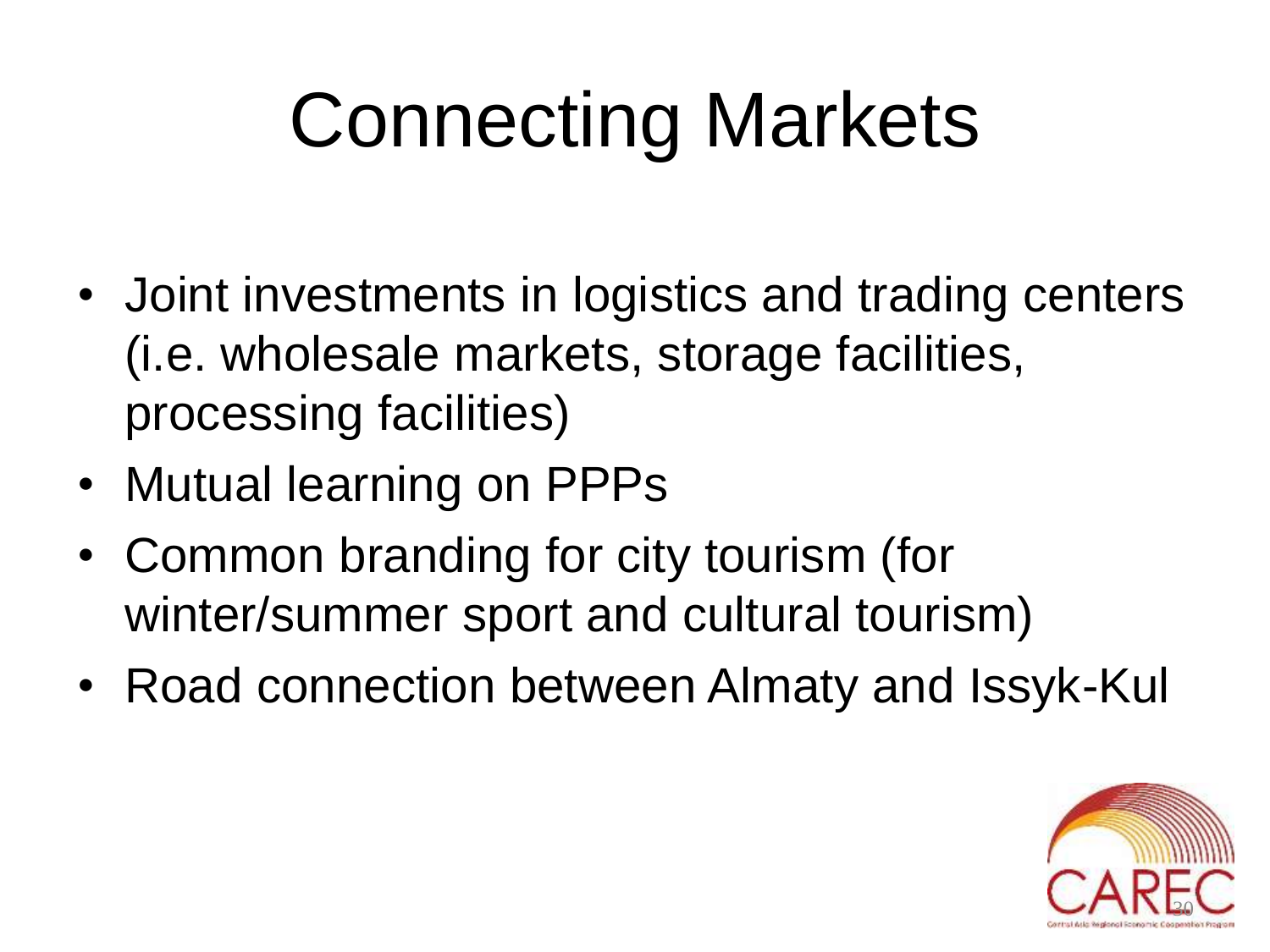# Connecting Markets

- Joint investments in logistics and trading centers (i.e. wholesale markets, storage facilities, processing facilities)
- Mutual learning on PPPs
- Common branding for city tourism (for winter/summer sport and cultural tourism)
- Road connection between Almaty and Issyk-Kul

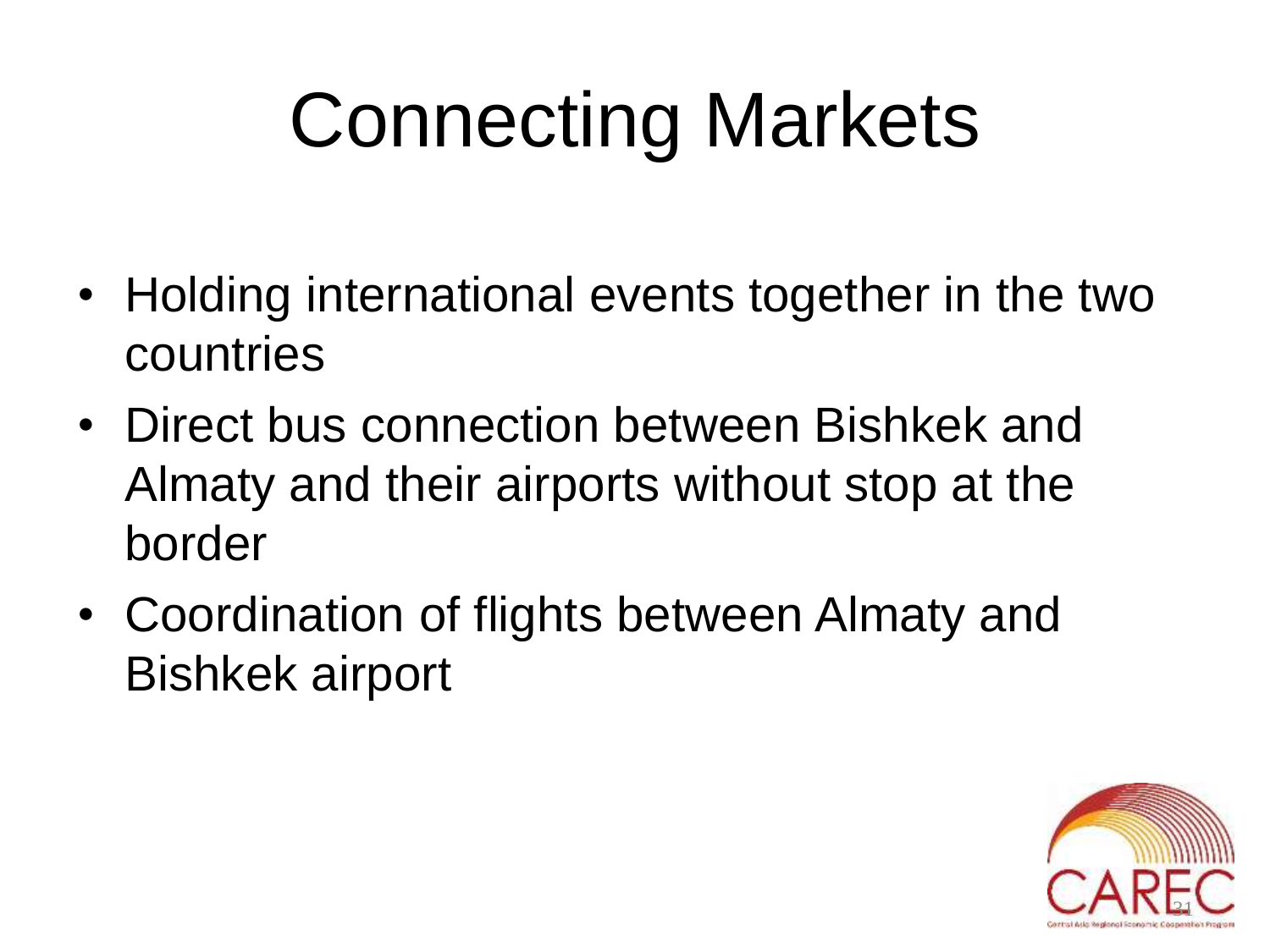# Connecting Markets

- Holding international events together in the two countries
- Direct bus connection between Bishkek and Almaty and their airports without stop at the border
- Coordination of flights between Almaty and Bishkek airport

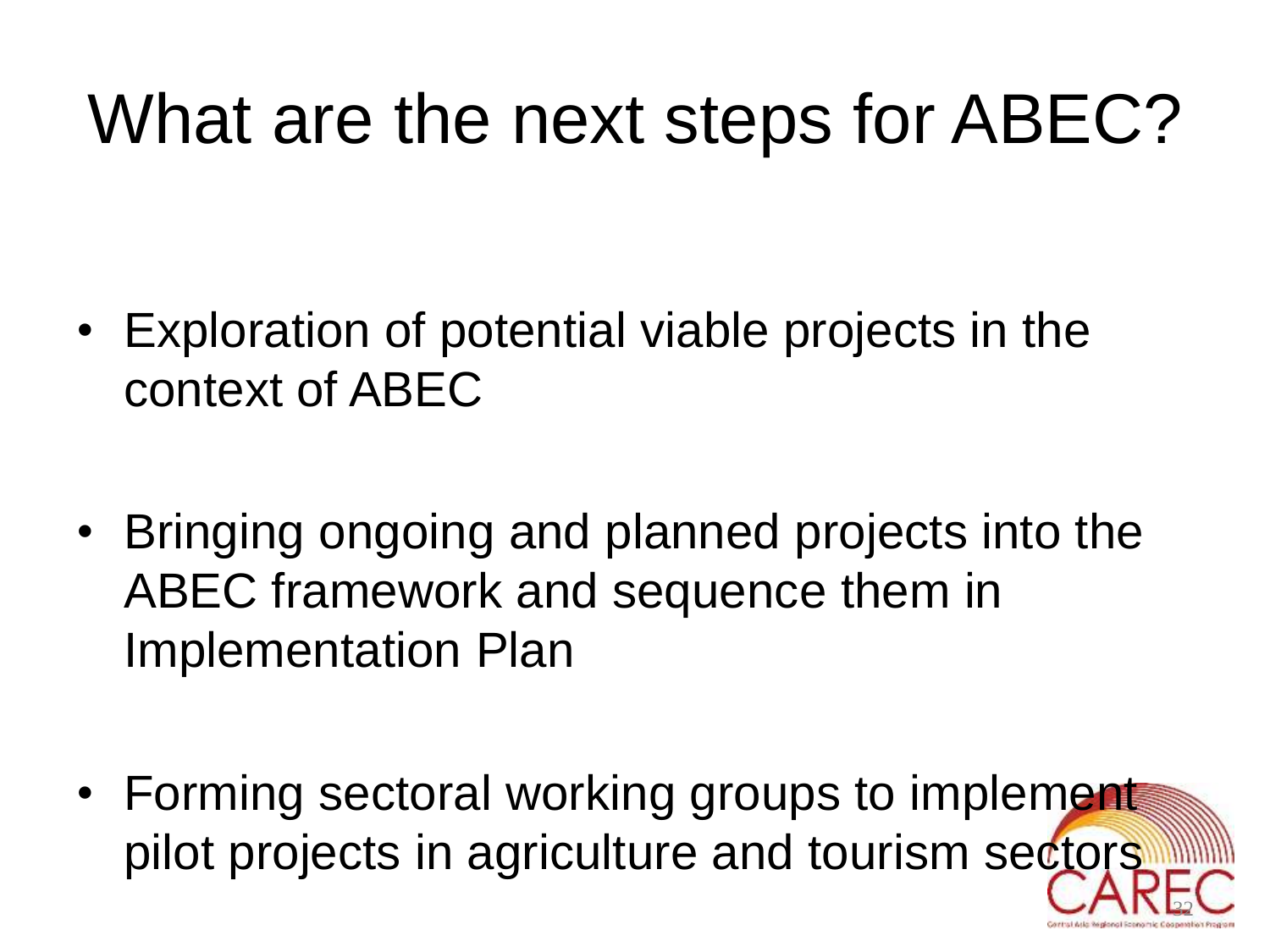### What are the next steps for ABEC?

- Exploration of potential viable projects in the context of ABEC
- Bringing ongoing and planned projects into the ABEC framework and sequence them in Implementation Plan
- Forming sectoral working groups to implement pilot projects in agriculture and tourism sectors

32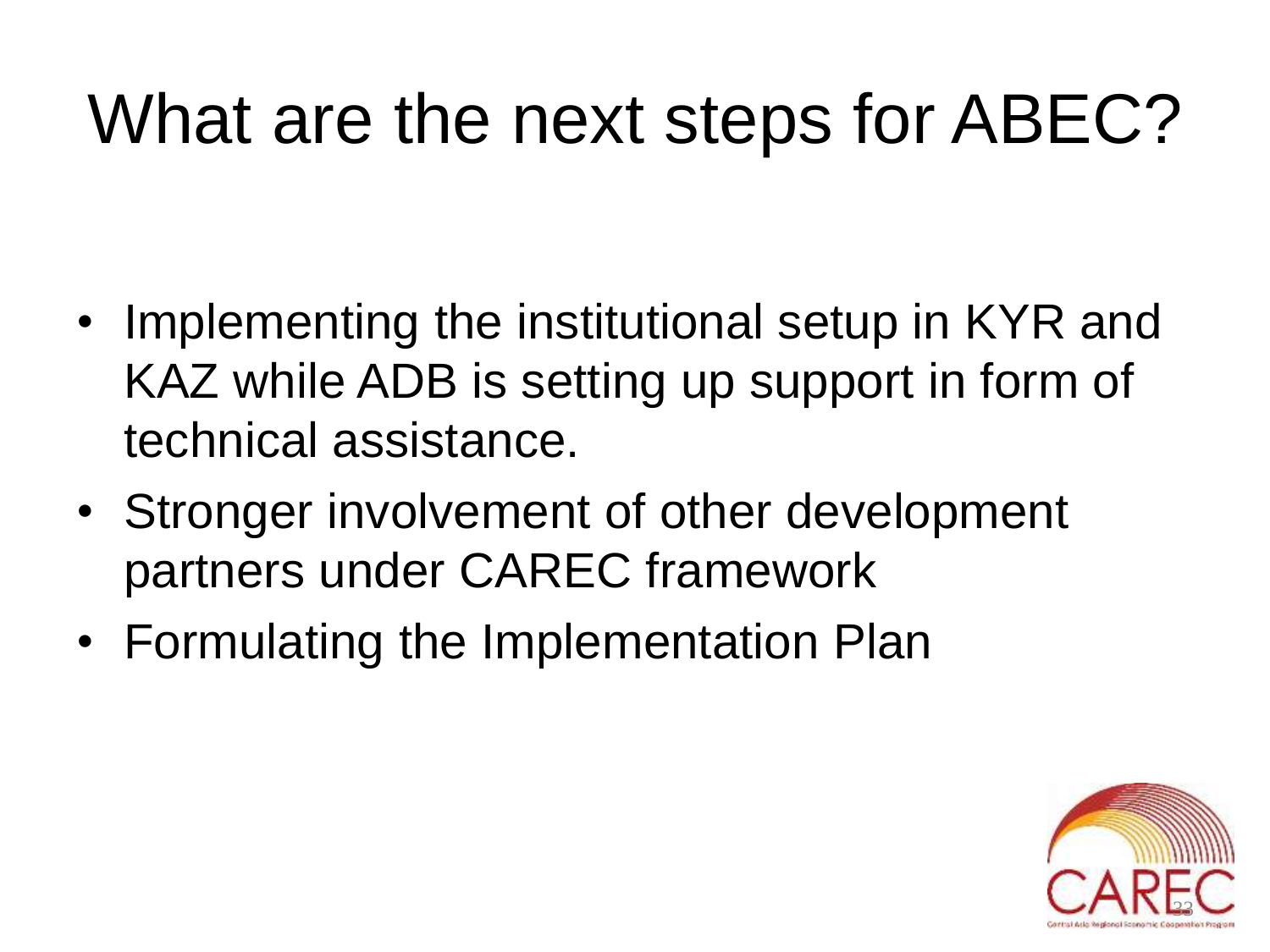### What are the next steps for ABEC?

- Implementing the institutional setup in KYR and KAZ while ADB is setting up support in form of technical assistance.
- Stronger involvement of other development partners under CAREC framework
- Formulating the Implementation Plan